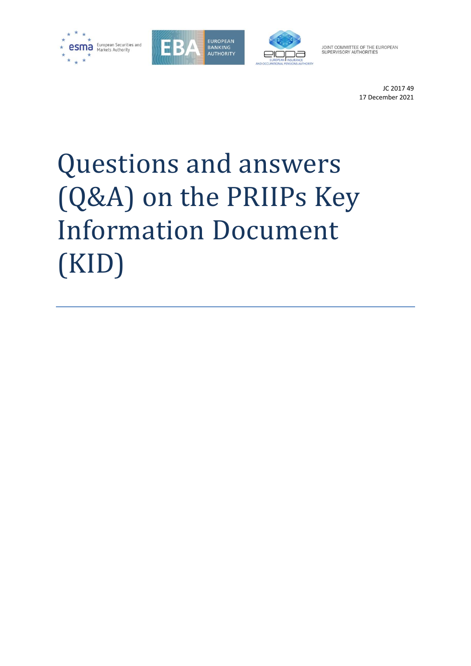





JOINT COMMITTEE OF THE EUROPEAN<br>SUPERVISORY AUTHORITIES

JC 2017 49 17 December 2021

# Questions and answers (Q&A) on the PRIIPs Key Information Document (KID)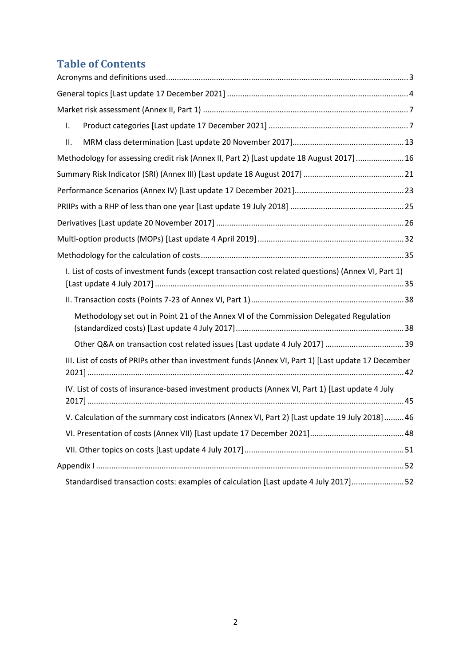# **Table of Contents**

| Τ.  |                                                                                                     |
|-----|-----------------------------------------------------------------------------------------------------|
| ΙΙ. |                                                                                                     |
|     | Methodology for assessing credit risk (Annex II, Part 2) [Last update 18 August 2017]  16           |
|     |                                                                                                     |
|     |                                                                                                     |
|     |                                                                                                     |
|     |                                                                                                     |
|     |                                                                                                     |
|     |                                                                                                     |
|     | I. List of costs of investment funds (except transaction cost related questions) (Annex VI, Part 1) |
|     |                                                                                                     |
|     | Methodology set out in Point 21 of the Annex VI of the Commission Delegated Regulation              |
|     | Other Q&A on transaction cost related issues [Last update 4 July 2017] 39                           |
|     | III. List of costs of PRIPs other than investment funds (Annex VI, Part 1) [Last update 17 December |
|     | IV. List of costs of insurance-based investment products (Annex VI, Part 1) [Last update 4 July     |
|     | V. Calculation of the summary cost indicators (Annex VI, Part 2) [Last update 19 July 2018] 46      |
|     |                                                                                                     |
|     |                                                                                                     |
|     |                                                                                                     |
|     | Standardised transaction costs: examples of calculation [Last update 4 July 2017]52                 |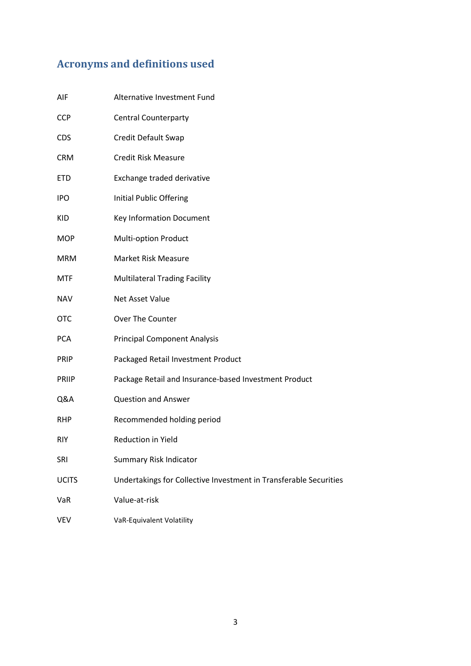# <span id="page-2-0"></span>**Acronyms and definitions used**

| AIF          | Alternative Investment Fund                                       |
|--------------|-------------------------------------------------------------------|
| <b>CCP</b>   | <b>Central Counterparty</b>                                       |
| <b>CDS</b>   | Credit Default Swap                                               |
| <b>CRM</b>   | <b>Credit Risk Measure</b>                                        |
| <b>ETD</b>   | Exchange traded derivative                                        |
| <b>IPO</b>   | <b>Initial Public Offering</b>                                    |
| KID          | Key Information Document                                          |
| <b>MOP</b>   | <b>Multi-option Product</b>                                       |
| <b>MRM</b>   | <b>Market Risk Measure</b>                                        |
| <b>MTF</b>   | <b>Multilateral Trading Facility</b>                              |
| <b>NAV</b>   | Net Asset Value                                                   |
| <b>OTC</b>   | Over The Counter                                                  |
| <b>PCA</b>   | <b>Principal Component Analysis</b>                               |
| <b>PRIP</b>  | Packaged Retail Investment Product                                |
| <b>PRIIP</b> | Package Retail and Insurance-based Investment Product             |
| Q&A          | <b>Question and Answer</b>                                        |
| <b>RHP</b>   | Recommended holding period                                        |
| <b>RIY</b>   | Reduction in Yield                                                |
| <b>SRI</b>   | <b>Summary Risk Indicator</b>                                     |
| <b>UCITS</b> | Undertakings for Collective Investment in Transferable Securities |
| VaR          | Value-at-risk                                                     |
| VEV          | VaR-Equivalent Volatility                                         |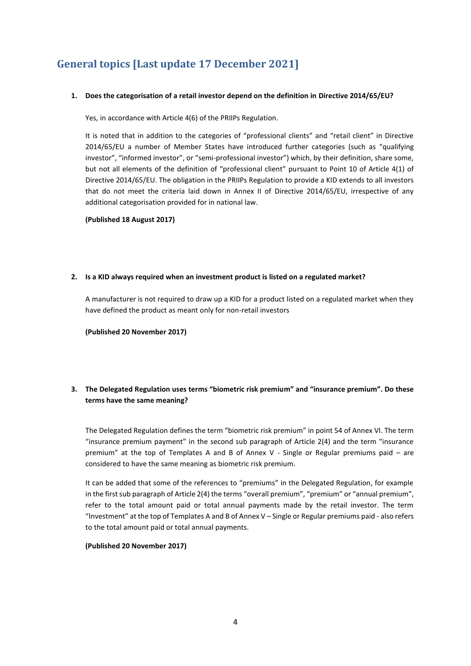# <span id="page-3-0"></span>**General topics [Last update 17 December 2021]**

#### **1. Does the categorisation of a retail investor depend on the definition in Directive 2014/65/EU?**

Yes, in accordance with Article 4(6) of the PRIIPs Regulation.

It is noted that in addition to the categories of "professional clients" and "retail client" in Directive 2014/65/EU a number of Member States have introduced further categories (such as "qualifying investor", "informed investor", or "semi-professional investor") which, by their definition, share some, but not all elements of the definition of "professional client" pursuant to Point 10 of Article 4(1) of Directive 2014/65/EU. The obligation in the PRIIPs Regulation to provide a KID extends to all investors that do not meet the criteria laid down in Annex II of Directive 2014/65/EU, irrespective of any additional categorisation provided for in national law.

**(Published 18 August 2017)**

#### **2. Is a KID always required when an investment product is listed on a regulated market?**

A manufacturer is not required to draw up a KID for a product listed on a regulated market when they have defined the product as meant only for non-retail investors

**(Published 20 November 2017)**

# **3. The Delegated Regulation uses terms "biometric risk premium" and "insurance premium". Do these terms have the same meaning?**

The Delegated Regulation defines the term "biometric risk premium" in point 54 of Annex VI. The term "insurance premium payment" in the second sub paragraph of Article 2(4) and the term "insurance premium" at the top of Templates A and B of Annex V - Single or Regular premiums paid – are considered to have the same meaning as biometric risk premium.

It can be added that some of the references to "premiums" in the Delegated Regulation, for example in the first sub paragraph of Article 2(4) the terms "overall premium", "premium" or "annual premium", refer to the total amount paid or total annual payments made by the retail investor. The term "Investment" at the top of Templates A and B of Annex V – Single or Regular premiums paid - also refers to the total amount paid or total annual payments.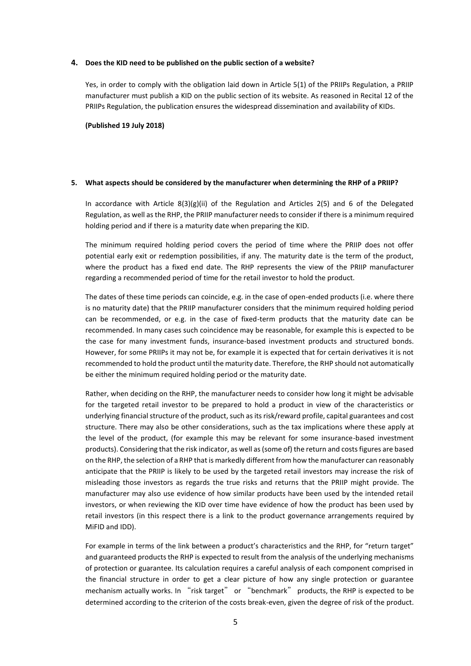#### **4. Does the KID need to be published on the public section of a website?**

Yes, in order to comply with the obligation laid down in Article 5(1) of the PRIIPs Regulation, a PRIIP manufacturer must publish a KID on the public section of its website. As reasoned in Recital 12 of the PRIIPs Regulation, the publication ensures the widespread dissemination and availability of KIDs.

**(Published 19 July 2018)**

#### **5. What aspects should be considered by the manufacturer when determining the RHP of a PRIIP?**

In accordance with Article  $8(3)(g)(ii)$  of the Regulation and Articles 2(5) and 6 of the Delegated Regulation, as well as the RHP, the PRIIP manufacturer needs to consider if there is a minimum required holding period and if there is a maturity date when preparing the KID.

The minimum required holding period covers the period of time where the PRIIP does not offer potential early exit or redemption possibilities, if any. The maturity date is the term of the product, where the product has a fixed end date. The RHP represents the view of the PRIIP manufacturer regarding a recommended period of time for the retail investor to hold the product.

The dates of these time periods can coincide, e.g. in the case of open-ended products (i.e. where there is no maturity date) that the PRIIP manufacturer considers that the minimum required holding period can be recommended, or e.g. in the case of fixed-term products that the maturity date can be recommended. In many cases such coincidence may be reasonable, for example this is expected to be the case for many investment funds, insurance-based investment products and structured bonds. However, for some PRIIPs it may not be, for example it is expected that for certain derivatives it is not recommended to hold the product until the maturity date. Therefore, the RHP should not automatically be either the minimum required holding period or the maturity date.

Rather, when deciding on the RHP, the manufacturer needs to consider how long it might be advisable for the targeted retail investor to be prepared to hold a product in view of the characteristics or underlying financial structure of the product, such as its risk/reward profile, capital guarantees and cost structure. There may also be other considerations, such as the tax implications where these apply at the level of the product, (for example this may be relevant for some insurance-based investment products). Considering that the risk indicator, as well as (some of) the return and costs figures are based on the RHP, the selection of a RHP that is markedly different from how the manufacturer can reasonably anticipate that the PRIIP is likely to be used by the targeted retail investors may increase the risk of misleading those investors as regards the true risks and returns that the PRIIP might provide. The manufacturer may also use evidence of how similar products have been used by the intended retail investors, or when reviewing the KID over time have evidence of how the product has been used by retail investors (in this respect there is a link to the product governance arrangements required by MiFID and IDD).

For example in terms of the link between a product's characteristics and the RHP, for "return target" and guaranteed products the RHP is expected to result from the analysis of the underlying mechanisms of protection or guarantee. Its calculation requires a careful analysis of each component comprised in the financial structure in order to get a clear picture of how any single protection or guarantee mechanism actually works. In "risk target" or "benchmark" products, the RHP is expected to be determined according to the criterion of the costs break-even, given the degree of risk of the product.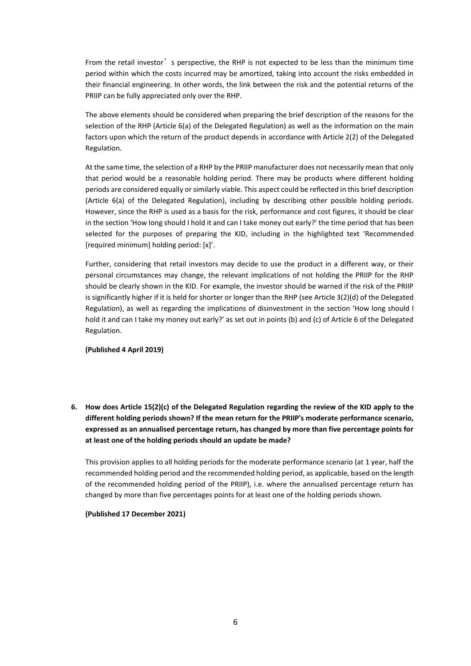From the retail investor's perspective, the RHP is not expected to be less than the minimum time period within which the costs incurred may be amortized, taking into account the risks embedded in their financial engineering. In other words, the link between the risk and the potential returns of the PRIIP can be fully appreciated only over the RHP.

The above elements should be considered when preparing the brief description of the reasons for the selection of the RHP (Article 6(a) of the Delegated Regulation) as well as the information on the main factors upon which the return of the product depends in accordance with Article 2(2) of the Delegated Regulation.

At the same time, the selection of a RHP by the PRIIP manufacturer does not necessarily mean that only that period would be a reasonable holding period. There may be products where different holding periods are considered equally or similarly viable. This aspect could be reflected in this brief description (Article 6(a) of the Delegated Regulation), including by describing other possible holding periods. However, since the RHP is used as a basis for the risk, performance and cost figures, it should be clear in the section 'How long should I hold it and can I take money out early?' the time period that has been selected for the purposes of preparing the KID, including in the highlighted text 'Recommended [required minimum] holding period: [x]'.

Further, considering that retail investors may decide to use the product in a different way, or their personal circumstances may change, the relevant implications of not holding the PRIIP for the RHP should be clearly shown in the KID. For example, the investor should be warned if the risk of the PRIIP is significantly higher if it is held for shorter or longer than the RHP (see Article 3(2)(d) of the Delegated Regulation), as well as regarding the implications of disinvestment in the section 'How long should I hold it and can I take my money out early?' as set out in points (b) and (c) of Article 6 of the Delegated Regulation.

**(Published 4 April 2019)**

**6. How does Article 15(2)(c) of the Delegated Regulation regarding the review of the KID apply to the different holding periods shown? If the mean return for the PRIIP's moderate performance scenario, expressed as an annualised percentage return, has changed by more than five percentage points for at least one of the holding periods should an update be made?** 

This provision applies to all holding periods for the moderate performance scenario (at 1 year, half the recommended holding period and the recommended holding period, as applicable, based on the length of the recommended holding period of the PRIIP), i.e. where the annualised percentage return has changed by more than five percentages points for at least one of the holding periods shown.

**(Published 17 December 2021)**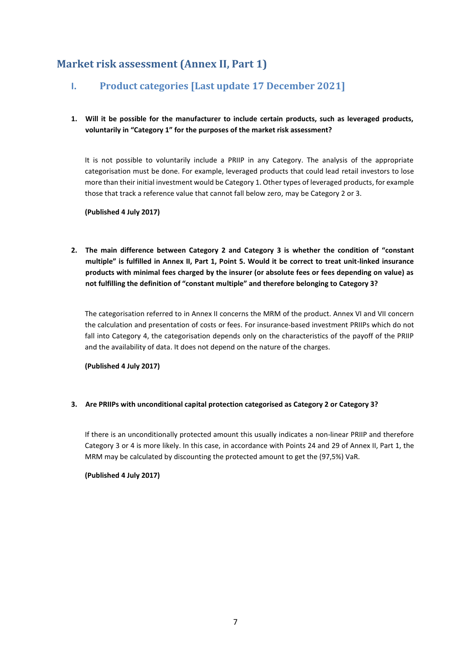# <span id="page-6-1"></span><span id="page-6-0"></span>**Market risk assessment (Annex II, Part 1)**

# **I. Product categories [Last update 17 December 2021]**

# **1. Will it be possible for the manufacturer to include certain products, such as leveraged products, voluntarily in "Category 1" for the purposes of the market risk assessment?**

It is not possible to voluntarily include a PRIIP in any Category. The analysis of the appropriate categorisation must be done. For example, leveraged products that could lead retail investors to lose more than their initial investment would be Category 1. Other types of leveraged products, for example those that track a reference value that cannot fall below zero, may be Category 2 or 3.

**(Published 4 July 2017)**

**2. The main difference between Category 2 and Category 3 is whether the condition of "constant multiple" is fulfilled in Annex II, Part 1, Point 5. Would it be correct to treat unit-linked insurance products with minimal fees charged by the insurer (or absolute fees or fees depending on value) as not fulfilling the definition of "constant multiple" and therefore belonging to Category 3?**

The categorisation referred to in Annex II concerns the MRM of the product. Annex VI and VII concern the calculation and presentation of costs or fees. For insurance-based investment PRIIPs which do not fall into Category 4, the categorisation depends only on the characteristics of the payoff of the PRIIP and the availability of data. It does not depend on the nature of the charges.

**(Published 4 July 2017)**

### **3. Are PRIIPs with unconditional capital protection categorised as Category 2 or Category 3?**

If there is an unconditionally protected amount this usually indicates a non-linear PRIIP and therefore Category 3 or 4 is more likely. In this case, in accordance with Points 24 and 29 of Annex II, Part 1, the MRM may be calculated by discounting the protected amount to get the (97,5%) VaR.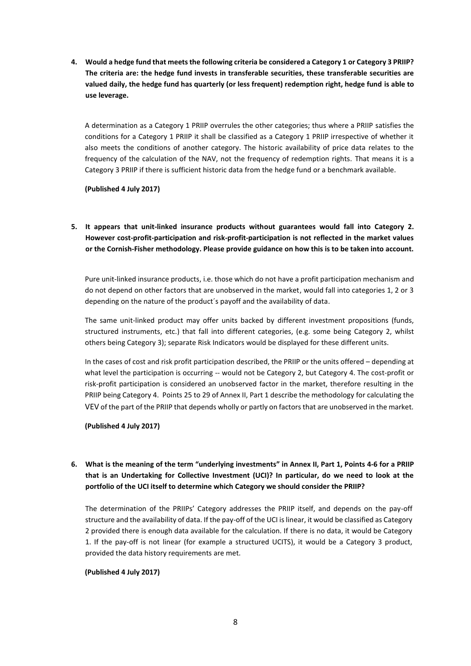**4. Would a hedge fund that meets the following criteria be considered a Category 1 or Category 3 PRIIP? The criteria are: the hedge fund invests in transferable securities, these transferable securities are valued daily, the hedge fund has quarterly (or less frequent) redemption right, hedge fund is able to use leverage.**

A determination as a Category 1 PRIIP overrules the other categories; thus where a PRIIP satisfies the conditions for a Category 1 PRIIP it shall be classified as a Category 1 PRIIP irrespective of whether it also meets the conditions of another category. The historic availability of price data relates to the frequency of the calculation of the NAV, not the frequency of redemption rights. That means it is a Category 3 PRIIP if there is sufficient historic data from the hedge fund or a benchmark available.

**(Published 4 July 2017)**

**5. It appears that unit-linked insurance products without guarantees would fall into Category 2. However cost-profit-participation and risk-profit-participation is not reflected in the market values or the Cornish-Fisher methodology. Please provide guidance on how this is to be taken into account.**

Pure unit-linked insurance products, i.e. those which do not have a profit participation mechanism and do not depend on other factors that are unobserved in the market, would fall into categories 1, 2 or 3 depending on the nature of the product´s payoff and the availability of data.

The same unit-linked product may offer units backed by different investment propositions (funds, structured instruments, etc.) that fall into different categories, (e.g. some being Category 2, whilst others being Category 3); separate Risk Indicators would be displayed for these different units.

In the cases of cost and risk profit participation described, the PRIIP or the units offered – depending at what level the participation is occurring -- would not be Category 2, but Category 4. The cost-profit or risk-profit participation is considered an unobserved factor in the market, therefore resulting in the PRIIP being Category 4. Points 25 to 29 of Annex II, Part 1 describe the methodology for calculating the VEV of the part of the PRIIP that depends wholly or partly on factors that are unobserved in the market.

**(Published 4 July 2017)**

# **6. What is the meaning of the term "underlying investments" in Annex II, Part 1, Points 4-6 for a PRIIP that is an Undertaking for Collective Investment (UCI)? In particular, do we need to look at the portfolio of the UCI itself to determine which Category we should consider the PRIIP?**

The determination of the PRIIPs' Category addresses the PRIIP itself, and depends on the pay-off structure and the availability of data. If the pay-off of the UCI is linear, it would be classified as Category 2 provided there is enough data available for the calculation. If there is no data, it would be Category 1. If the pay-off is not linear (for example a structured UCITS), it would be a Category 3 product, provided the data history requirements are met.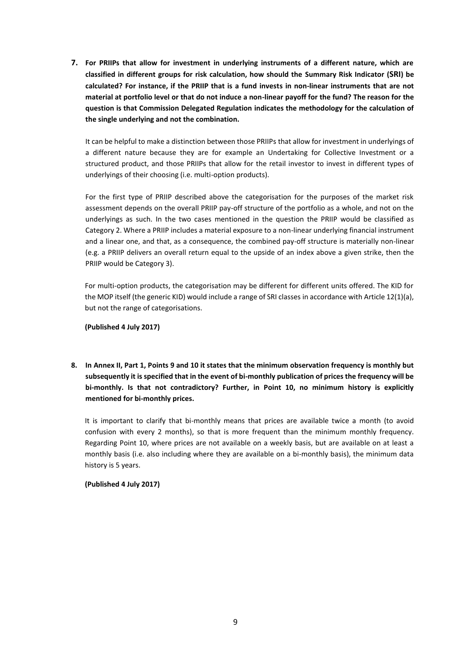**7. For PRIIPs that allow for investment in underlying instruments of a different nature, which are classified in different groups for risk calculation, how should the Summary Risk Indicator (SRI) be calculated? For instance, if the PRIIP that is a fund invests in non-linear instruments that are not material at portfolio level or that do not induce a non-linear payoff for the fund? The reason for the question is that Commission Delegated Regulation indicates the methodology for the calculation of the single underlying and not the combination.**

It can be helpful to make a distinction between those PRIIPs that allow for investment in underlyings of a different nature because they are for example an Undertaking for Collective Investment or a structured product, and those PRIIPs that allow for the retail investor to invest in different types of underlyings of their choosing (i.e. multi-option products).

For the first type of PRIIP described above the categorisation for the purposes of the market risk assessment depends on the overall PRIIP pay-off structure of the portfolio as a whole, and not on the underlyings as such. In the two cases mentioned in the question the PRIIP would be classified as Category 2. Where a PRIIP includes a material exposure to a non-linear underlying financial instrument and a linear one, and that, as a consequence, the combined pay-off structure is materially non-linear (e.g. a PRIIP delivers an overall return equal to the upside of an index above a given strike, then the PRIIP would be Category 3).

For multi-option products, the categorisation may be different for different units offered. The KID for the MOP itself (the generic KID) would include a range of SRI classes in accordance with Article 12(1)(a), but not the range of categorisations.

#### **(Published 4 July 2017)**

**8. In Annex II, Part 1, Points 9 and 10 it states that the minimum observation frequency is monthly but subsequently it is specified that in the event of bi-monthly publication of prices the frequency will be bi-monthly. Is that not contradictory? Further, in Point 10, no minimum history is explicitly mentioned for bi-monthly prices.**

It is important to clarify that bi-monthly means that prices are available twice a month (to avoid confusion with every 2 months), so that is more frequent than the minimum monthly frequency. Regarding Point 10, where prices are not available on a weekly basis, but are available on at least a monthly basis (i.e. also including where they are available on a bi-monthly basis), the minimum data history is 5 years.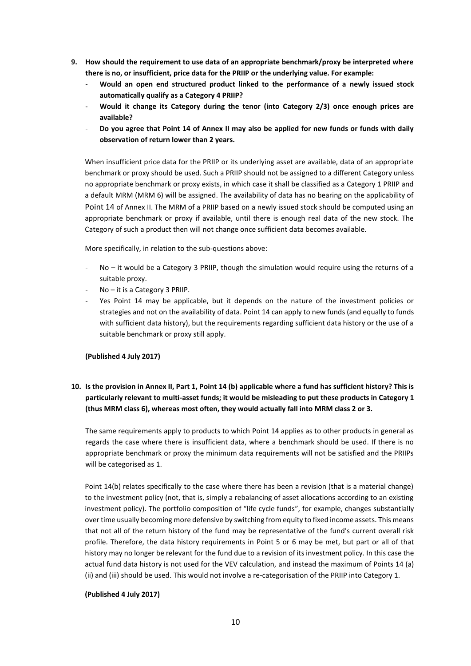- **9. How should the requirement to use data of an appropriate benchmark/proxy be interpreted where there is no, or insufficient, price data for the PRIIP or the underlying value. For example:** 
	- **Would an open end structured product linked to the performance of a newly issued stock automatically qualify as a Category 4 PRIIP?**
	- **Would it change its Category during the tenor (into Category 2/3) once enough prices are available?**
	- **Do you agree that Point 14 of Annex II may also be applied for new funds or funds with daily observation of return lower than 2 years.**

When insufficient price data for the PRIIP or its underlying asset are available, data of an appropriate benchmark or proxy should be used. Such a PRIIP should not be assigned to a different Category unless no appropriate benchmark or proxy exists, in which case it shall be classified as a Category 1 PRIIP and a default MRM (MRM 6) will be assigned. The availability of data has no bearing on the applicability of Point 14 of Annex II. The MRM of a PRIIP based on a newly issued stock should be computed using an appropriate benchmark or proxy if available, until there is enough real data of the new stock. The Category of such a product then will not change once sufficient data becomes available.

More specifically, in relation to the sub-questions above:

- No it would be a Category 3 PRIIP, though the simulation would require using the returns of a suitable proxy.
- No it is a Category 3 PRIIP.
- Yes Point 14 may be applicable, but it depends on the nature of the investment policies or strategies and not on the availability of data. Point 14 can apply to new funds (and equally to funds with sufficient data history), but the requirements regarding sufficient data history or the use of a suitable benchmark or proxy still apply.

#### **(Published 4 July 2017)**

# **10. Is the provision in Annex II, Part 1, Point 14 (b) applicable where a fund has sufficient history? This is particularly relevant to multi-asset funds; it would be misleading to put these products in Category 1 (thus MRM class 6), whereas most often, they would actually fall into MRM class 2 or 3.**

The same requirements apply to products to which Point 14 applies as to other products in general as regards the case where there is insufficient data, where a benchmark should be used. If there is no appropriate benchmark or proxy the minimum data requirements will not be satisfied and the PRIIPs will be categorised as 1.

Point 14(b) relates specifically to the case where there has been a revision (that is a material change) to the investment policy (not, that is, simply a rebalancing of asset allocations according to an existing investment policy). The portfolio composition of "life cycle funds", for example, changes substantially over time usually becoming more defensive by switching from equity to fixed income assets. This means that not all of the return history of the fund may be representative of the fund's current overall risk profile. Therefore, the data history requirements in Point 5 or 6 may be met, but part or all of that history may no longer be relevant for the fund due to a revision of its investment policy. In this case the actual fund data history is not used for the VEV calculation, and instead the maximum of Points 14 (a) (ii) and (iii) should be used. This would not involve a re-categorisation of the PRIIP into Category 1.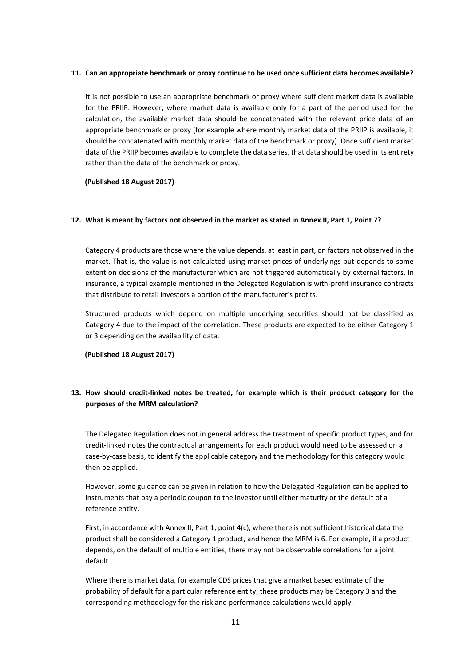#### **11. Can an appropriate benchmark or proxy continue to be used once sufficient data becomes available?**

It is not possible to use an appropriate benchmark or proxy where sufficient market data is available for the PRIIP. However, where market data is available only for a part of the period used for the calculation, the available market data should be concatenated with the relevant price data of an appropriate benchmark or proxy (for example where monthly market data of the PRIIP is available, it should be concatenated with monthly market data of the benchmark or proxy). Once sufficient market data of the PRIIP becomes available to complete the data series, that data should be used in its entirety rather than the data of the benchmark or proxy.

**(Published 18 August 2017)**

#### **12. What is meant by factors not observed in the market as stated in Annex II, Part 1, Point 7?**

Category 4 products are those where the value depends, at least in part, on factors not observed in the market. That is, the value is not calculated using market prices of underlyings but depends to some extent on decisions of the manufacturer which are not triggered automatically by external factors. In insurance, a typical example mentioned in the Delegated Regulation is with-profit insurance contracts that distribute to retail investors a portion of the manufacturer's profits.

Structured products which depend on multiple underlying securities should not be classified as Category 4 due to the impact of the correlation. These products are expected to be either Category 1 or 3 depending on the availability of data.

#### **(Published 18 August 2017)**

# **13. How should credit-linked notes be treated, for example which is their product category for the purposes of the MRM calculation?**

The Delegated Regulation does not in general address the treatment of specific product types, and for credit-linked notes the contractual arrangements for each product would need to be assessed on a case-by-case basis, to identify the applicable category and the methodology for this category would then be applied.

However, some guidance can be given in relation to how the Delegated Regulation can be applied to instruments that pay a periodic coupon to the investor until either maturity or the default of a reference entity.

First, in accordance with Annex II, Part 1, point 4(c), where there is not sufficient historical data the product shall be considered a Category 1 product, and hence the MRM is 6. For example, if a product depends, on the default of multiple entities, there may not be observable correlations for a joint default.

Where there is market data, for example CDS prices that give a market based estimate of the probability of default for a particular reference entity, these products may be Category 3 and the corresponding methodology for the risk and performance calculations would apply.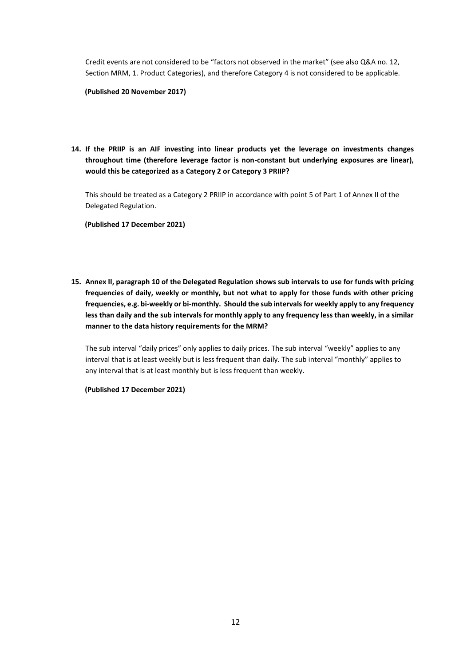Credit events are not considered to be "factors not observed in the market" (see also Q&A no. 12, Section MRM, 1. Product Categories), and therefore Category 4 is not considered to be applicable.

#### **(Published 20 November 2017)**

**14. If the PRIIP is an AIF investing into linear products yet the leverage on investments changes throughout time (therefore leverage factor is non-constant but underlying exposures are linear), would this be categorized as a Category 2 or Category 3 PRIIP?**

This should be treated as a Category 2 PRIIP in accordance with point 5 of Part 1 of Annex II of the Delegated Regulation.

**(Published 17 December 2021)**

**15. Annex II, paragraph 10 of the Delegated Regulation shows sub intervals to use for funds with pricing frequencies of daily, weekly or monthly, but not what to apply for those funds with other pricing frequencies, e.g. bi-weekly or bi-monthly. Should the sub intervals for weekly apply to any frequency less than daily and the sub intervals for monthly apply to any frequency less than weekly, in a similar manner to the data history requirements for the MRM?**

The sub interval "daily prices" only applies to daily prices. The sub interval "weekly" applies to any interval that is at least weekly but is less frequent than daily. The sub interval "monthly" applies to any interval that is at least monthly but is less frequent than weekly.

**(Published 17 December 2021)**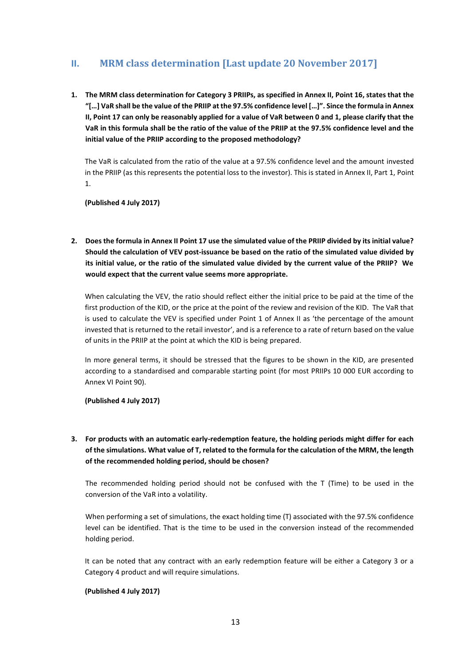# <span id="page-12-0"></span>**II. MRM class determination [Last update 20 November 2017]**

**1. The MRM class determination for Category 3 PRIIPs, as specified in Annex II, Point 16, states that the "[…] VaR shall be the value of the PRIIP at the 97.5% confidence level […]". Since the formula in Annex II, Point 17 can only be reasonably applied for a value of VaR between 0 and 1, please clarify that the VaR in this formula shall be the ratio of the value of the PRIIP at the 97.5% confidence level and the initial value of the PRIIP according to the proposed methodology?**

The VaR is calculated from the ratio of the value at a 97.5% confidence level and the amount invested in the PRIIP (as this represents the potential loss to the investor). This is stated in Annex II, Part 1, Point 1.

**(Published 4 July 2017)**

**2. Does the formula in Annex II Point 17 use the simulated value of the PRIIP divided by its initial value? Should the calculation of VEV post-issuance be based on the ratio of the simulated value divided by its initial value, or the ratio of the simulated value divided by the current value of the PRIIP? We would expect that the current value seems more appropriate.**

When calculating the VEV, the ratio should reflect either the initial price to be paid at the time of the first production of the KID, or the price at the point of the review and revision of the KID. The VaR that is used to calculate the VEV is specified under Point 1 of Annex II as 'the percentage of the amount invested that is returned to the retail investor', and is a reference to a rate of return based on the value of units in the PRIIP at the point at which the KID is being prepared.

In more general terms, it should be stressed that the figures to be shown in the KID, are presented according to a standardised and comparable starting point (for most PRIIPs 10 000 EUR according to Annex VI Point 90).

**(Published 4 July 2017)**

# **3. For products with an automatic early-redemption feature, the holding periods might differ for each of the simulations. What value of T, related to the formula for the calculation of the MRM, the length of the recommended holding period, should be chosen?**

The recommended holding period should not be confused with the T (Time) to be used in the conversion of the VaR into a volatility.

When performing a set of simulations, the exact holding time (T) associated with the 97.5% confidence level can be identified. That is the time to be used in the conversion instead of the recommended holding period.

It can be noted that any contract with an early redemption feature will be either a Category 3 or a Category 4 product and will require simulations.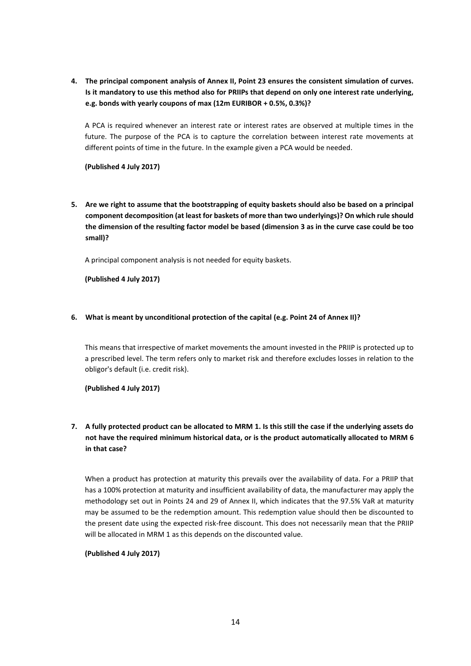**4. The principal component analysis of Annex II, Point 23 ensures the consistent simulation of curves. Is it mandatory to use this method also for PRIIPs that depend on only one interest rate underlying, e.g. bonds with yearly coupons of max (12m EURIBOR + 0.5%, 0.3%)?**

A PCA is required whenever an interest rate or interest rates are observed at multiple times in the future. The purpose of the PCA is to capture the correlation between interest rate movements at different points of time in the future. In the example given a PCA would be needed.

**(Published 4 July 2017)**

**5. Are we right to assume that the bootstrapping of equity baskets should also be based on a principal component decomposition (at least for baskets of more than two underlyings)? On which rule should the dimension of the resulting factor model be based (dimension 3 as in the curve case could be too small)?**

A principal component analysis is not needed for equity baskets.

**(Published 4 July 2017)**

#### **6. What is meant by unconditional protection of the capital (e.g. Point 24 of Annex II)?**

This means that irrespective of market movements the amount invested in the PRIIP is protected up to a prescribed level. The term refers only to market risk and therefore excludes losses in relation to the obligor's default (i.e. credit risk).

**(Published 4 July 2017)**

# **7. A fully protected product can be allocated to MRM 1. Is this still the case if the underlying assets do not have the required minimum historical data, or is the product automatically allocated to MRM 6 in that case?**

When a product has protection at maturity this prevails over the availability of data. For a PRIIP that has a 100% protection at maturity and insufficient availability of data, the manufacturer may apply the methodology set out in Points 24 and 29 of Annex II, which indicates that the 97.5% VaR at maturity may be assumed to be the redemption amount. This redemption value should then be discounted to the present date using the expected risk-free discount. This does not necessarily mean that the PRIIP will be allocated in MRM 1 as this depends on the discounted value.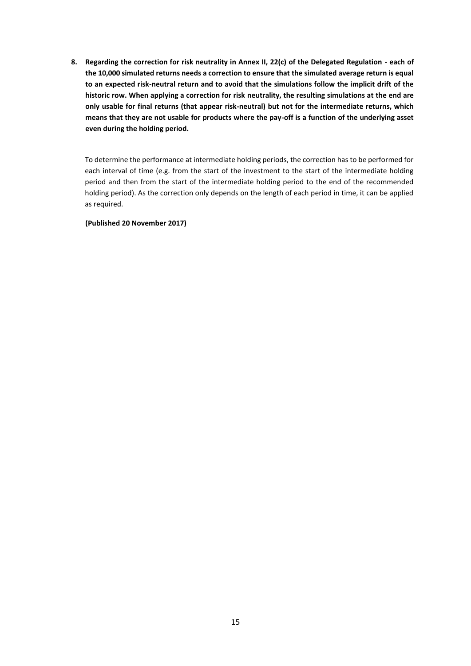**8. Regarding the correction for risk neutrality in Annex II, 22(c) of the Delegated Regulation - each of the 10,000 simulated returns needs a correction to ensure that the simulated average return is equal to an expected risk-neutral return and to avoid that the simulations follow the implicit drift of the historic row. When applying a correction for risk neutrality, the resulting simulations at the end are only usable for final returns (that appear risk-neutral) but not for the intermediate returns, which means that they are not usable for products where the pay-off is a function of the underlying asset even during the holding period.**

To determine the performance at intermediate holding periods, the correction has to be performed for each interval of time (e.g. from the start of the investment to the start of the intermediate holding period and then from the start of the intermediate holding period to the end of the recommended holding period). As the correction only depends on the length of each period in time, it can be applied as required.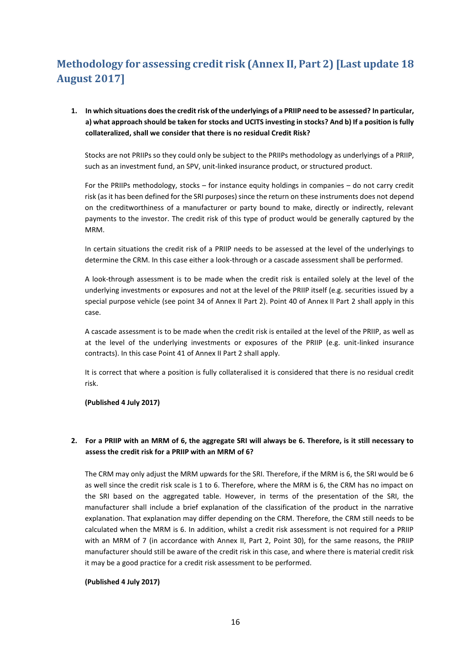# <span id="page-15-0"></span>**Methodology for assessing credit risk (Annex II, Part 2) [Last update 18 August 2017]**

**1. In which situations does the credit risk of the underlyings of a PRIIP need to be assessed? In particular, a) what approach should be taken for stocks and UCITS investing in stocks? And b) If a position is fully collateralized, shall we consider that there is no residual Credit Risk?**

Stocks are not PRIIPs so they could only be subject to the PRIIPs methodology as underlyings of a PRIIP, such as an investment fund, an SPV, unit-linked insurance product, or structured product.

For the PRIIPs methodology, stocks – for instance equity holdings in companies – do not carry credit risk (as it has been defined for the SRI purposes) since the return on these instruments does not depend on the creditworthiness of a manufacturer or party bound to make, directly or indirectly, relevant payments to the investor. The credit risk of this type of product would be generally captured by the MRM.

In certain situations the credit risk of a PRIIP needs to be assessed at the level of the underlyings to determine the CRM. In this case either a look-through or a cascade assessment shall be performed.

A look-through assessment is to be made when the credit risk is entailed solely at the level of the underlying investments or exposures and not at the level of the PRIIP itself (e.g. securities issued by a special purpose vehicle (see point 34 of Annex II Part 2). Point 40 of Annex II Part 2 shall apply in this case.

A cascade assessment is to be made when the credit risk is entailed at the level of the PRIIP, as well as at the level of the underlying investments or exposures of the PRIIP (e.g. unit-linked insurance contracts). In this case Point 41 of Annex II Part 2 shall apply.

It is correct that where a position is fully collateralised it is considered that there is no residual credit risk.

**(Published 4 July 2017)**

### **2. For a PRIIP with an MRM of 6, the aggregate SRI will always be 6. Therefore, is it still necessary to assess the credit risk for a PRIIP with an MRM of 6?**

The CRM may only adjust the MRM upwards for the SRI. Therefore, if the MRM is 6, the SRI would be 6 as well since the credit risk scale is 1 to 6. Therefore, where the MRM is 6, the CRM has no impact on the SRI based on the aggregated table. However, in terms of the presentation of the SRI, the manufacturer shall include a brief explanation of the classification of the product in the narrative explanation. That explanation may differ depending on the CRM. Therefore, the CRM still needs to be calculated when the MRM is 6. In addition, whilst a credit risk assessment is not required for a PRIIP with an MRM of 7 (in accordance with Annex II, Part 2, Point 30), for the same reasons, the PRIIP manufacturer should still be aware of the credit risk in this case, and where there is material credit risk it may be a good practice for a credit risk assessment to be performed.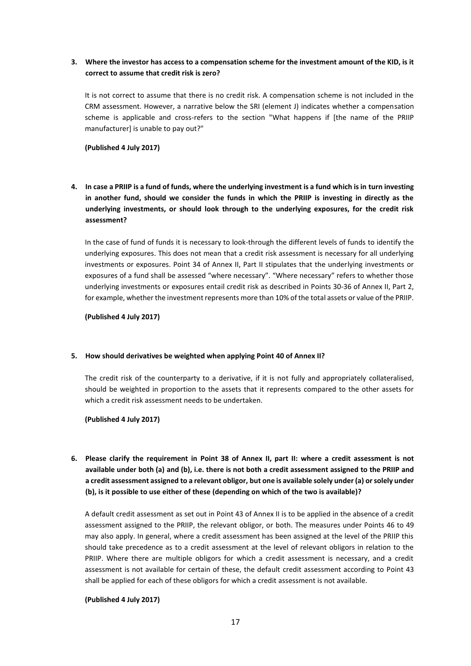# **3. Where the investor has access to a compensation scheme for the investment amount of the KID, is it correct to assume that credit risk is zero?**

It is not correct to assume that there is no credit risk. A compensation scheme is not included in the CRM assessment. However, a narrative below the SRI (element J) indicates whether a compensation scheme is applicable and cross-refers to the section "What happens if [the name of the PRIIP manufacturer] is unable to pay out?"

**(Published 4 July 2017)**

**4. In case a PRIIP is a fund of funds, where the underlying investment is a fund which is in turn investing in another fund, should we consider the funds in which the PRIIP is investing in directly as the underlying investments, or should look through to the underlying exposures, for the credit risk assessment?**

In the case of fund of funds it is necessary to look-through the different levels of funds to identify the underlying exposures. This does not mean that a credit risk assessment is necessary for all underlying investments or exposures. Point 34 of Annex II, Part II stipulates that the underlying investments or exposures of a fund shall be assessed "where necessary". "Where necessary" refers to whether those underlying investments or exposures entail credit risk as described in Points 30-36 of Annex II, Part 2, for example, whether the investment represents more than 10% of the total assets or value of the PRIIP.

**(Published 4 July 2017)**

#### **5. How should derivatives be weighted when applying Point 40 of Annex II?**

The credit risk of the counterparty to a derivative, if it is not fully and appropriately collateralised, should be weighted in proportion to the assets that it represents compared to the other assets for which a credit risk assessment needs to be undertaken.

**(Published 4 July 2017)**

**6. Please clarify the requirement in Point 38 of Annex II, part II: where a credit assessment is not available under both (a) and (b), i.e. there is not both a credit assessment assigned to the PRIIP and a credit assessment assigned to a relevant obligor, but one is available solely under (a) or solely under (b), is it possible to use either of these (depending on which of the two is available)?**

A default credit assessment as set out in Point 43 of Annex II is to be applied in the absence of a credit assessment assigned to the PRIIP, the relevant obligor, or both. The measures under Points 46 to 49 may also apply. In general, where a credit assessment has been assigned at the level of the PRIIP this should take precedence as to a credit assessment at the level of relevant obligors in relation to the PRIIP. Where there are multiple obligors for which a credit assessment is necessary, and a credit assessment is not available for certain of these, the default credit assessment according to Point 43 shall be applied for each of these obligors for which a credit assessment is not available.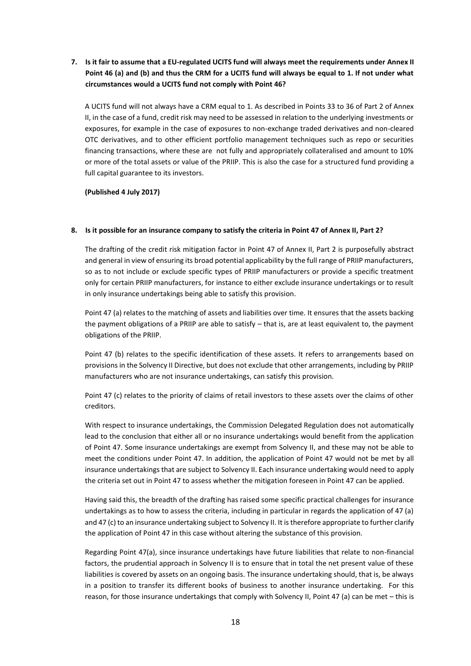**7. Is it fair to assume that a EU-regulated UCITS fund will always meet the requirements under Annex II Point 46 (a) and (b) and thus the CRM for a UCITS fund will always be equal to 1. If not under what circumstances would a UCITS fund not comply with Point 46?**

A UCITS fund will not always have a CRM equal to 1. As described in Points 33 to 36 of Part 2 of Annex II, in the case of a fund, credit risk may need to be assessed in relation to the underlying investments or exposures, for example in the case of exposures to non-exchange traded derivatives and non-cleared OTC derivatives, and to other efficient portfolio management techniques such as repo or securities financing transactions, where these are not fully and appropriately collateralised and amount to 10% or more of the total assets or value of the PRIIP. This is also the case for a structured fund providing a full capital guarantee to its investors.

**(Published 4 July 2017)**

#### **8. Is it possible for an insurance company to satisfy the criteria in Point 47 of Annex II, Part 2?**

The drafting of the credit risk mitigation factor in Point 47 of Annex II, Part 2 is purposefully abstract and general in view of ensuring its broad potential applicability by the full range of PRIIP manufacturers, so as to not include or exclude specific types of PRIIP manufacturers or provide a specific treatment only for certain PRIIP manufacturers, for instance to either exclude insurance undertakings or to result in only insurance undertakings being able to satisfy this provision.

Point 47 (a) relates to the matching of assets and liabilities over time. It ensures that the assets backing the payment obligations of a PRIIP are able to satisfy – that is, are at least equivalent to, the payment obligations of the PRIIP.

Point 47 (b) relates to the specific identification of these assets. It refers to arrangements based on provisions in the Solvency II Directive, but does not exclude that other arrangements, including by PRIIP manufacturers who are not insurance undertakings, can satisfy this provision.

Point 47 (c) relates to the priority of claims of retail investors to these assets over the claims of other creditors.

With respect to insurance undertakings, the Commission Delegated Regulation does not automatically lead to the conclusion that either all or no insurance undertakings would benefit from the application of Point 47. Some insurance undertakings are exempt from Solvency II, and these may not be able to meet the conditions under Point 47. In addition, the application of Point 47 would not be met by all insurance undertakings that are subject to Solvency II. Each insurance undertaking would need to apply the criteria set out in Point 47 to assess whether the mitigation foreseen in Point 47 can be applied.

Having said this, the breadth of the drafting has raised some specific practical challenges for insurance undertakings as to how to assess the criteria, including in particular in regards the application of 47 (a) and 47 (c) to an insurance undertaking subject to Solvency II. It is therefore appropriate to further clarify the application of Point 47 in this case without altering the substance of this provision.

Regarding Point 47(a), since insurance undertakings have future liabilities that relate to non-financial factors, the prudential approach in Solvency II is to ensure that in total the net present value of these liabilities is covered by assets on an ongoing basis. The insurance undertaking should, that is, be always in a position to transfer its different books of business to another insurance undertaking. For this reason, for those insurance undertakings that comply with Solvency II, Point 47 (a) can be met – this is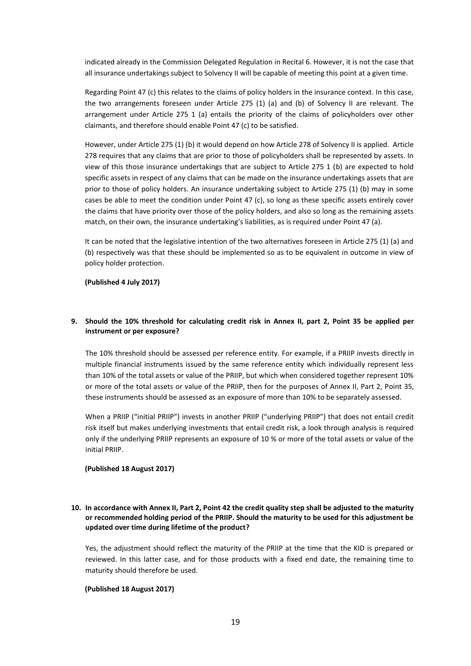indicated already in the Commission Delegated Regulation in Recital 6. However, it is not the case that all insurance undertakings subject to Solvency II will be capable of meeting this point at a given time.

Regarding Point 47 (c) this relates to the claims of policy holders in the insurance context. In this case, the two arrangements foreseen under Article 275 (1) (a) and (b) of Solvency II are relevant. The arrangement under Article 275 1 (a) entails the priority of the claims of policyholders over other claimants, and therefore should enable Point 47 (c) to be satisfied.

However, under Article 275 (1) (b) it would depend on how Article 278 of Solvency II is applied. Article 278 requires that any claims that are prior to those of policyholders shall be represented by assets. In view of this those insurance undertakings that are subject to Article 275 1 (b) are expected to hold specific assets in respect of any claims that can be made on the insurance undertakings assets that are prior to those of policy holders. An insurance undertaking subject to Article 275 (1) (b) may in some cases be able to meet the condition under Point 47 (c), so long as these specific assets entirely cover the claims that have priority over those of the policy holders, and also so long as the remaining assets match, on their own, the insurance undertaking's liabilities, as is required under Point 47 (a).

It can be noted that the legislative intention of the two alternatives foreseen in Article 275 (1) (a) and (b) respectively was that these should be implemented so as to be equivalent in outcome in view of policy holder protection.

**(Published 4 July 2017)**

#### **9. Should the 10% threshold for calculating credit risk in Annex II, part 2, Point 35 be applied per instrument or per exposure?**

The 10% threshold should be assessed per reference entity. For example, if a PRIIP invests directly in multiple financial instruments issued by the same reference entity which individually represent less than 10% of the total assets or value of the PRIIP, but which when considered together represent 10% or more of the total assets or value of the PRIIP, then for the purposes of Annex II, Part 2, Point 35, these instruments should be assessed as an exposure of more than 10% to be separately assessed.

When a PRIIP ("initial PRIIP") invests in another PRIIP ("underlying PRIIP") that does not entail credit risk itself but makes underlying investments that entail credit risk, a look through analysis is required only if the underlying PRIIP represents an exposure of 10 % or more of the total assets or value of the initial PRIIP.

#### **(Published 18 August 2017)**

### **10. In accordance with Annex II, Part 2, Point 42 the credit quality step shall be adjusted to the maturity or recommended holding period of the PRIIP. Should the maturity to be used for this adjustment be updated over time during lifetime of the product?**

Yes, the adjustment should reflect the maturity of the PRIIP at the time that the KID is prepared or reviewed. In this latter case, and for those products with a fixed end date, the remaining time to maturity should therefore be used.

#### **(Published 18 August 2017)**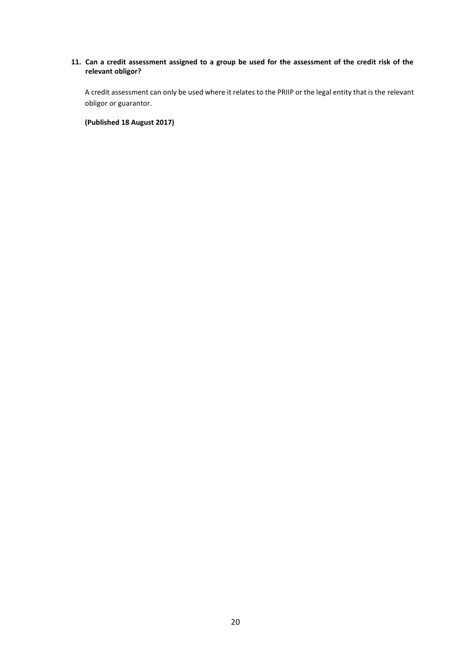### **11. Can a credit assessment assigned to a group be used for the assessment of the credit risk of the relevant obligor?**

A credit assessment can only be used where it relates to the PRIIP or the legal entity that is the relevant obligor or guarantor.

**(Published 18 August 2017)**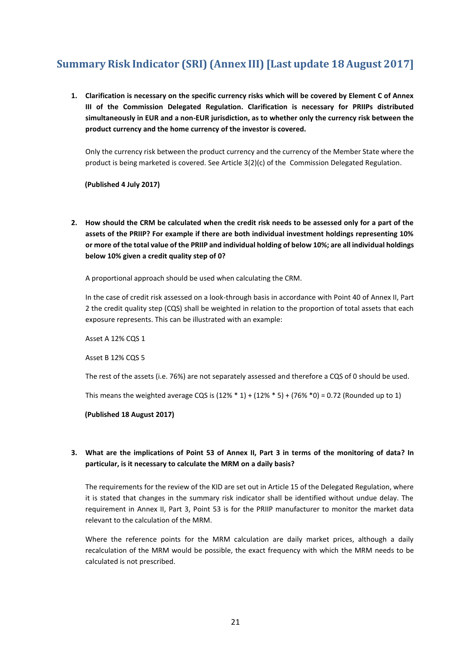# <span id="page-20-0"></span>**Summary Risk Indicator (SRI) (Annex III) [Last update 18 August 2017]**

**1. Clarification is necessary on the specific currency risks which will be covered by Element C of Annex III of the Commission Delegated Regulation. Clarification is necessary for PRIIPs distributed simultaneously in EUR and a non-EUR jurisdiction, as to whether only the currency risk between the product currency and the home currency of the investor is covered.**

Only the currency risk between the product currency and the currency of the Member State where the product is being marketed is covered. See Article 3(2)(c) of the Commission Delegated Regulation.

**(Published 4 July 2017)**

**2. How should the CRM be calculated when the credit risk needs to be assessed only for a part of the assets of the PRIIP? For example if there are both individual investment holdings representing 10% or more of the total value of the PRIIP and individual holding of below 10%; are all individual holdings below 10% given a credit quality step of 0?**

A proportional approach should be used when calculating the CRM.

In the case of credit risk assessed on a look-through basis in accordance with Point 40 of Annex II, Part 2 the credit quality step (CQS) shall be weighted in relation to the proportion of total assets that each exposure represents. This can be illustrated with an example:

Asset A 12% CQS 1

Asset B 12% CQS 5

The rest of the assets (i.e. 76%) are not separately assessed and therefore a CQS of 0 should be used.

This means the weighted average CQS is  $(12\% * 1) + (12\% * 5) + (76\% * 0) = 0.72$  (Rounded up to 1)

**(Published 18 August 2017)**

### **3. What are the implications of Point 53 of Annex II, Part 3 in terms of the monitoring of data? In particular, is it necessary to calculate the MRM on a daily basis?**

The requirements for the review of the KID are set out in Article 15 of the Delegated Regulation, where it is stated that changes in the summary risk indicator shall be identified without undue delay. The requirement in Annex II, Part 3, Point 53 is for the PRIIP manufacturer to monitor the market data relevant to the calculation of the MRM.

Where the reference points for the MRM calculation are daily market prices, although a daily recalculation of the MRM would be possible, the exact frequency with which the MRM needs to be calculated is not prescribed.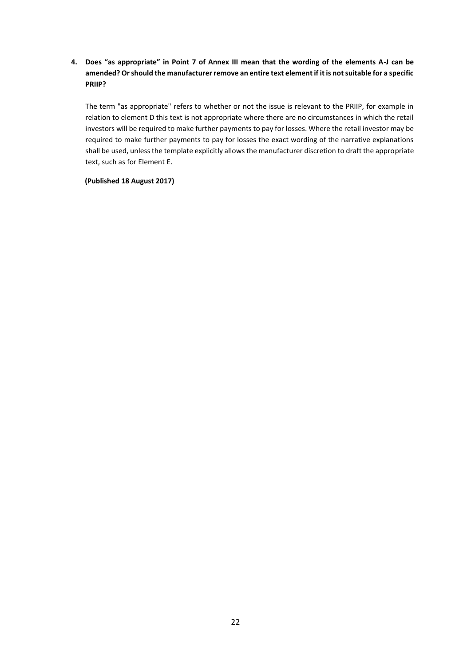**4. Does "as appropriate" in Point 7 of Annex III mean that the wording of the elements A-J can be amended? Or should the manufacturer remove an entire text element if it is not suitable for a specific PRIIP?**

The term "as appropriate" refers to whether or not the issue is relevant to the PRIIP, for example in relation to element D this text is not appropriate where there are no circumstances in which the retail investors will be required to make further payments to pay for losses. Where the retail investor may be required to make further payments to pay for losses the exact wording of the narrative explanations shall be used, unless the template explicitly allows the manufacturer discretion to draft the appropriate text, such as for Element E.

**(Published 18 August 2017)**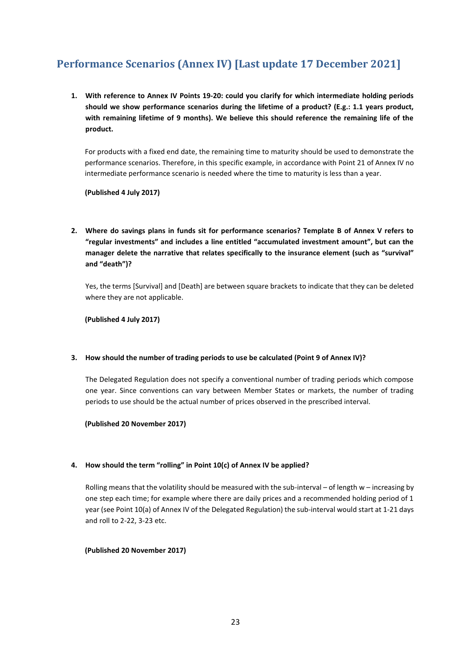# <span id="page-22-0"></span>**Performance Scenarios (Annex IV) [Last update 17 December 2021]**

**1. With reference to Annex IV Points 19-20: could you clarify for which intermediate holding periods should we show performance scenarios during the lifetime of a product? (E.g.: 1.1 years product, with remaining lifetime of 9 months). We believe this should reference the remaining life of the product.**

For products with a fixed end date, the remaining time to maturity should be used to demonstrate the performance scenarios. Therefore, in this specific example, in accordance with Point 21 of Annex IV no intermediate performance scenario is needed where the time to maturity is less than a year.

**(Published 4 July 2017)**

**2. Where do savings plans in funds sit for performance scenarios? Template B of Annex V refers to "regular investments" and includes a line entitled "accumulated investment amount", but can the manager delete the narrative that relates specifically to the insurance element (such as "survival" and "death")?**

Yes, the terms [Survival] and [Death] are between square brackets to indicate that they can be deleted where they are not applicable.

**(Published 4 July 2017)**

#### **3. How should the number of trading periods to use be calculated (Point 9 of Annex IV)?**

The Delegated Regulation does not specify a conventional number of trading periods which compose one year. Since conventions can vary between Member States or markets, the number of trading periods to use should be the actual number of prices observed in the prescribed interval.

**(Published 20 November 2017)**

### **4. How should the term "rolling" in Point 10(c) of Annex IV be applied?**

Rolling means that the volatility should be measured with the sub-interval – of length w – increasing by one step each time; for example where there are daily prices and a recommended holding period of 1 year (see Point 10(a) of Annex IV of the Delegated Regulation) the sub-interval would start at 1-21 days and roll to 2-22, 3-23 etc.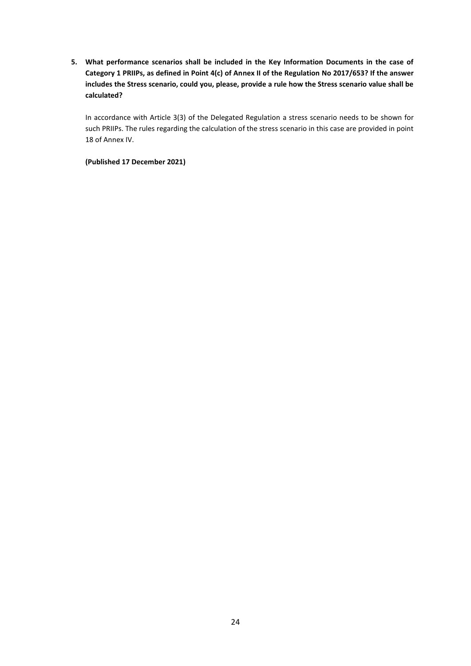**5. What performance scenarios shall be included in the Key Information Documents in the case of Category 1 PRIIPs, as defined in Point 4(c) of Annex II of the Regulation No 2017/653? If the answer includes the Stress scenario, could you, please, provide a rule how the Stress scenario value shall be calculated?**

In accordance with Article 3(3) of the Delegated Regulation a stress scenario needs to be shown for such PRIIPs. The rules regarding the calculation of the stress scenario in this case are provided in point 18 of Annex IV.

### **(Published 17 December 2021)**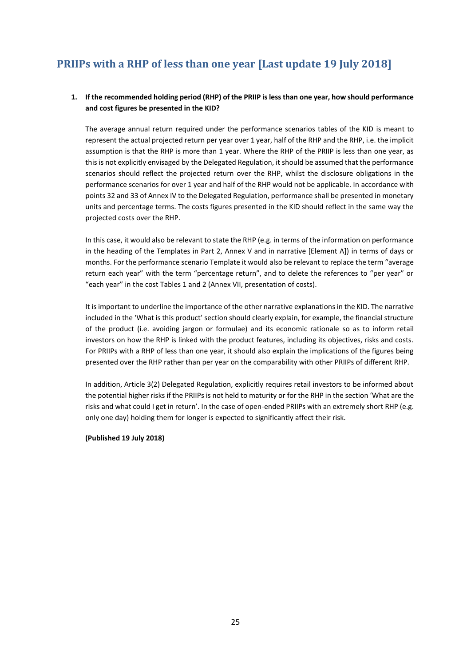# <span id="page-24-0"></span>**PRIIPs with a RHP of less than one year [Last update 19 July 2018]**

### **1. If the recommended holding period (RHP) of the PRIIP is less than one year, how should performance and cost figures be presented in the KID?**

The average annual return required under the performance scenarios tables of the KID is meant to represent the actual projected return per year over 1 year, half of the RHP and the RHP, i.e. the implicit assumption is that the RHP is more than 1 year. Where the RHP of the PRIIP is less than one year, as this is not explicitly envisaged by the Delegated Regulation, it should be assumed that the performance scenarios should reflect the projected return over the RHP, whilst the disclosure obligations in the performance scenarios for over 1 year and half of the RHP would not be applicable. In accordance with points 32 and 33 of Annex IV to the Delegated Regulation, performance shall be presented in monetary units and percentage terms. The costs figures presented in the KID should reflect in the same way the projected costs over the RHP.

In this case, it would also be relevant to state the RHP (e.g. in terms of the information on performance in the heading of the Templates in Part 2, Annex V and in narrative [Element A]) in terms of days or months. For the performance scenario Template it would also be relevant to replace the term "average return each year" with the term "percentage return", and to delete the references to "per year" or "each year" in the cost Tables 1 and 2 (Annex VII, presentation of costs).

It is important to underline the importance of the other narrative explanations in the KID. The narrative included in the 'What is this product' section should clearly explain, for example, the financial structure of the product (i.e. avoiding jargon or formulae) and its economic rationale so as to inform retail investors on how the RHP is linked with the product features, including its objectives, risks and costs. For PRIIPs with a RHP of less than one year, it should also explain the implications of the figures being presented over the RHP rather than per year on the comparability with other PRIIPs of different RHP.

In addition, Article 3(2) Delegated Regulation, explicitly requires retail investors to be informed about the potential higher risks if the PRIIPs is not held to maturity or for the RHP in the section 'What are the risks and what could I get in return'. In the case of open-ended PRIIPs with an extremely short RHP (e.g. only one day) holding them for longer is expected to significantly affect their risk.

#### **(Published 19 July 2018)**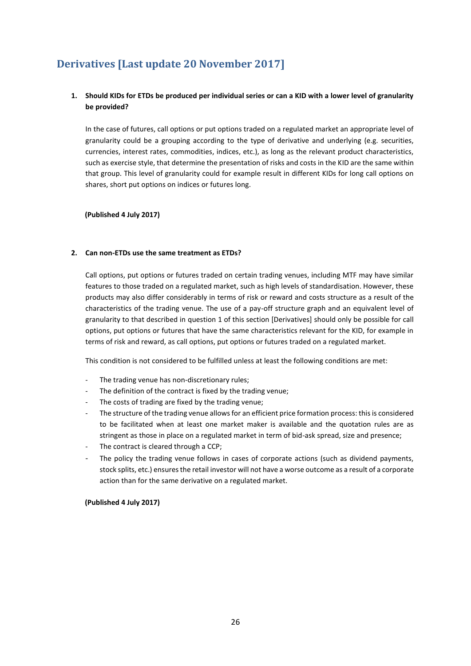# <span id="page-25-0"></span>**Derivatives [Last update 20 November 2017]**

# **1. Should KIDs for ETDs be produced per individual series or can a KID with a lower level of granularity be provided?**

In the case of futures, call options or put options traded on a regulated market an appropriate level of granularity could be a grouping according to the type of derivative and underlying (e.g. securities, currencies, interest rates, commodities, indices, etc.), as long as the relevant product characteristics, such as exercise style, that determine the presentation of risks and costs in the KID are the same within that group. This level of granularity could for example result in different KIDs for long call options on shares, short put options on indices or futures long.

**(Published 4 July 2017)**

#### **2. Can non-ETDs use the same treatment as ETDs?**

Call options, put options or futures traded on certain trading venues, including MTF may have similar features to those traded on a regulated market, such as high levels of standardisation. However, these products may also differ considerably in terms of risk or reward and costs structure as a result of the characteristics of the trading venue. The use of a pay-off structure graph and an equivalent level of granularity to that described in question 1 of this section [Derivatives] should only be possible for call options, put options or futures that have the same characteristics relevant for the KID, for example in terms of risk and reward, as call options, put options or futures traded on a regulated market.

This condition is not considered to be fulfilled unless at least the following conditions are met:

- The trading venue has non-discretionary rules;
- The definition of the contract is fixed by the trading venue;
- The costs of trading are fixed by the trading venue;
- The structure of the trading venue allows for an efficient price formation process: this is considered to be facilitated when at least one market maker is available and the quotation rules are as stringent as those in place on a regulated market in term of bid-ask spread, size and presence;
- The contract is cleared through a CCP;
- The policy the trading venue follows in cases of corporate actions (such as dividend payments, stock splits, etc.) ensures the retail investor will not have a worse outcome as a result of a corporate action than for the same derivative on a regulated market.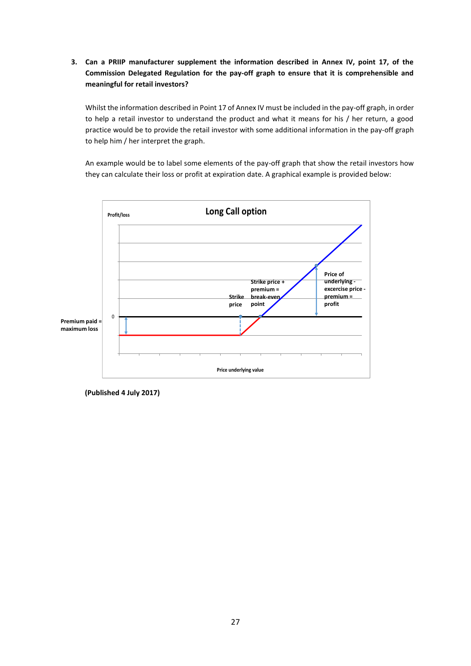**3. Can a PRIIP manufacturer supplement the information described in Annex IV, point 17, of the Commission Delegated Regulation for the pay-off graph to ensure that it is comprehensible and meaningful for retail investors?**

Whilst the information described in Point 17 of Annex IV must be included in the pay-off graph, in order to help a retail investor to understand the product and what it means for his / her return, a good practice would be to provide the retail investor with some additional information in the pay-off graph to help him / her interpret the graph.

An example would be to label some elements of the pay-off graph that show the retail investors how they can calculate their loss or profit at expiration date. A graphical example is provided below:



**(Published 4 July 2017)**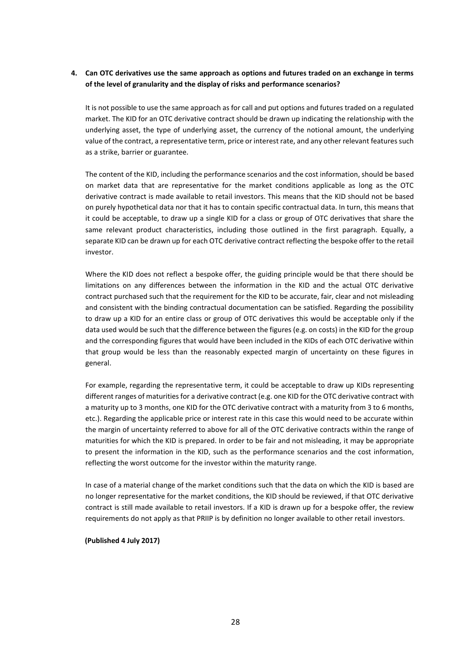### **4. Can OTC derivatives use the same approach as options and futures traded on an exchange in terms of the level of granularity and the display of risks and performance scenarios?**

It is not possible to use the same approach as for call and put options and futures traded on a regulated market. The KID for an OTC derivative contract should be drawn up indicating the relationship with the underlying asset, the type of underlying asset, the currency of the notional amount, the underlying value of the contract, a representative term, price or interest rate, and any other relevant features such as a strike, barrier or guarantee.

The content of the KID, including the performance scenarios and the cost information, should be based on market data that are representative for the market conditions applicable as long as the OTC derivative contract is made available to retail investors. This means that the KID should not be based on purely hypothetical data nor that it has to contain specific contractual data. In turn, this means that it could be acceptable, to draw up a single KID for a class or group of OTC derivatives that share the same relevant product characteristics, including those outlined in the first paragraph. Equally, a separate KID can be drawn up for each OTC derivative contract reflecting the bespoke offer to the retail investor.

Where the KID does not reflect a bespoke offer, the guiding principle would be that there should be limitations on any differences between the information in the KID and the actual OTC derivative contract purchased such that the requirement for the KID to be accurate, fair, clear and not misleading and consistent with the binding contractual documentation can be satisfied. Regarding the possibility to draw up a KID for an entire class or group of OTC derivatives this would be acceptable only if the data used would be such that the difference between the figures (e.g. on costs) in the KID for the group and the corresponding figures that would have been included in the KIDs of each OTC derivative within that group would be less than the reasonably expected margin of uncertainty on these figures in general.

For example, regarding the representative term, it could be acceptable to draw up KIDs representing different ranges of maturities for a derivative contract (e.g. one KID for the OTC derivative contract with a maturity up to 3 months, one KID for the OTC derivative contract with a maturity from 3 to 6 months, etc.). Regarding the applicable price or interest rate in this case this would need to be accurate within the margin of uncertainty referred to above for all of the OTC derivative contracts within the range of maturities for which the KID is prepared. In order to be fair and not misleading, it may be appropriate to present the information in the KID, such as the performance scenarios and the cost information, reflecting the worst outcome for the investor within the maturity range.

In case of a material change of the market conditions such that the data on which the KID is based are no longer representative for the market conditions, the KID should be reviewed, if that OTC derivative contract is still made available to retail investors. If a KID is drawn up for a bespoke offer, the review requirements do not apply as that PRIIP is by definition no longer available to other retail investors.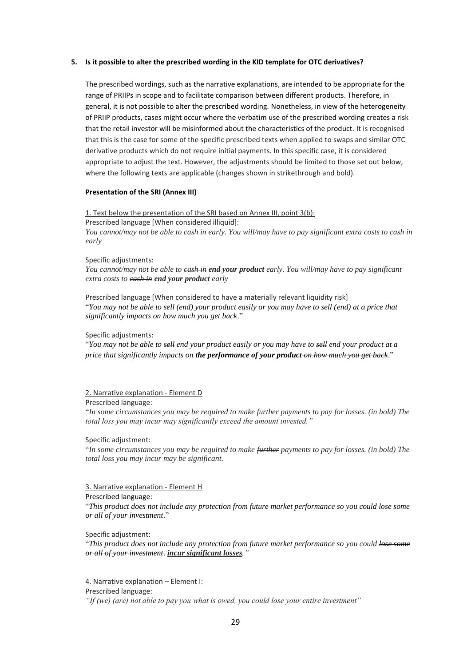#### **5. Is it possible to alter the prescribed wording in the KID template for OTC derivatives?**

The prescribed wordings, such as the narrative explanations, are intended to be appropriate for the range of PRIIPs in scope and to facilitate comparison between different products. Therefore, in general, it is not possible to alter the prescribed wording. Nonetheless, in view of the heterogeneity of PRIIP products, cases might occur where the verbatim use of the prescribed wording creates a risk that the retail investor will be misinformed about the characteristics of the product. It is recognised that this is the case for some of the specific prescribed texts when applied to swaps and similar OTC derivative products which do not require initial payments. In this specific case, it is considered appropriate to adjust the text. However, the adjustments should be limited to those set out below, where the following texts are applicable (changes shown in strikethrough and bold).

#### **Presentation of the SRI (Annex III)**

1. Text below the presentation of the SRI based on Annex III, point 3(b):

Prescribed language [When considered illiquid]: *You cannot/may not be able to cash in early. You will/may have to pay significant extra costs to cash in early*

#### Specific adjustments:

*You cannot/may not be able to cash in end your product early. You will/may have to pay significant extra costs to cash in end your product early*

Prescribed language [When considered to have a materially relevant liquidity risk] "*You may not be able to sell (end) your product easily or you may have to sell (end) at a price that significantly impacts on how much you get back*."

Specific adjustments:

"*You may not be able to sell end your product easily or you may have to sell end your product at a price that significantly impacts on the performance of your product on how much you get back*."

#### 2. Narrative explanation - Element D

#### Prescribed language:

"*In some circumstances you may be required to make further payments to pay for losses. (in bold) The total loss you may incur may significantly exceed the amount invested."*

#### Specific adjustment:

"*In some circumstances you may be required to make further payments to pay for losses. (in bold) The total loss you may incur may be significant.* 

#### 3. Narrative explanation - Element H

#### Prescribed language:

"*This product does not include any protection from future market performance so you could lose some or all of your investment*."

Specific adjustment:

"*This product does not include any protection from future market performance so you could lose some or all of your investment*. *incur significant losses."*

4. Narrative explanation – Element I:

Prescribed language:

*"If (we) (are) not able to pay you what is owed, you could lose your entire investment"*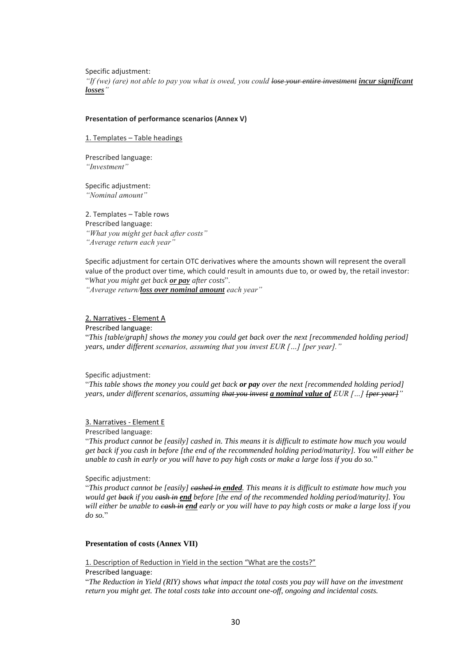Specific adjustment: *"If (we) (are) not able to pay you what is owed, you could lose your entire investment incur significant losses"*

#### **Presentation of performance scenarios (Annex V)**

1. Templates – Table headings

Prescribed language: *"Investment"*

Specific adjustment: *"Nominal amount"*

2. Templates – Table rows Prescribed language:

*"What you might get back after costs" "Average return each year"*

Specific adjustment for certain OTC derivatives where the amounts shown will represent the overall value of the product over time, which could result in amounts due to, or owed by, the retail investor: "*What you might get back or pay after costs*".

*"Average return/loss over nominal amount each year"*

#### 2. Narratives - Element A

Prescribed language:

"*This [table/graph] shows the money you could get back over the next [recommended holding period] years, under different scenarios, assuming that you invest EUR […] [per year]."*

Specific adjustment:

"*This table shows the money you could get back or pay over the next [recommended holding period] years, under different scenarios, assuming that you invest a nominal value of EUR […] [per year]"*

#### 3. Narratives - Element E

Prescribed language:

"*This product cannot be [easily] cashed in. This means it is difficult to estimate how much you would get back if you cash in before [the end of the recommended holding period/maturity]. You will either be unable to cash in early or you will have to pay high costs or make a large loss if you do so.*"

Specific adjustment:

"*This product cannot be [easily] cashed in ended. This means it is difficult to estimate how much you would get back if you cash in end before [the end of the recommended holding period/maturity]. You will either be unable to cash in end early or you will have to pay high costs or make a large loss if you do so.*"

#### **Presentation of costs (Annex VII)**

1. Description of Reduction in Yield in the section "What are the costs?"

Prescribed language:

"*The Reduction in Yield (RIY) shows what impact the total costs you pay will have on the investment return you might get. The total costs take into account one-off, ongoing and incidental costs.*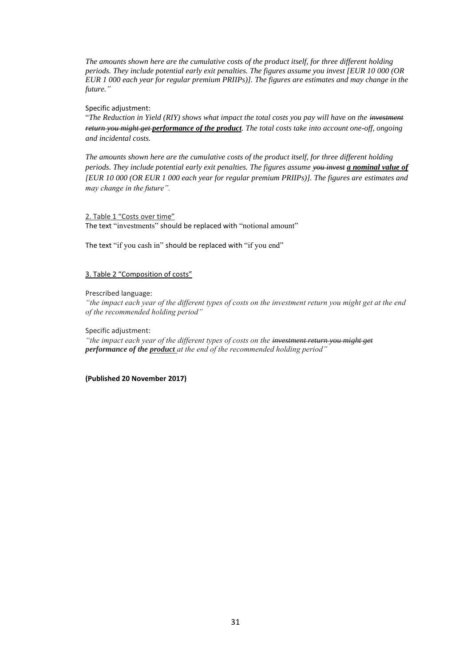*The amounts shown here are the cumulative costs of the product itself, for three different holding periods. They include potential early exit penalties. The figures assume you invest [EUR 10 000 (OR EUR 1 000 each year for regular premium PRIIPs)]. The figures are estimates and may change in the future."*

#### Specific adjustment:

"*The Reduction in Yield (RIY) shows what impact the total costs you pay will have on the investment return you might get performance of the product. The total costs take into account one-off, ongoing and incidental costs.*

*The amounts shown here are the cumulative costs of the product itself, for three different holding periods. They include potential early exit penalties. The figures assume you invest a nominal value of [EUR 10 000 (OR EUR 1 000 each year for regular premium PRIIPs)]. The figures are estimates and may change in the future".*

#### 2. Table 1 "Costs over time"

The text "investments" should be replaced with "notional amount"

The text "if you cash in" should be replaced with "if you end"

#### 3. Table 2 "Composition of costs"

#### Prescribed language:

*"the impact each year of the different types of costs on the investment return you might get at the end of the recommended holding period"*

Specific adjustment:

*"the impact each year of the different types of costs on the investment return you might get performance of the product at the end of the recommended holding period"*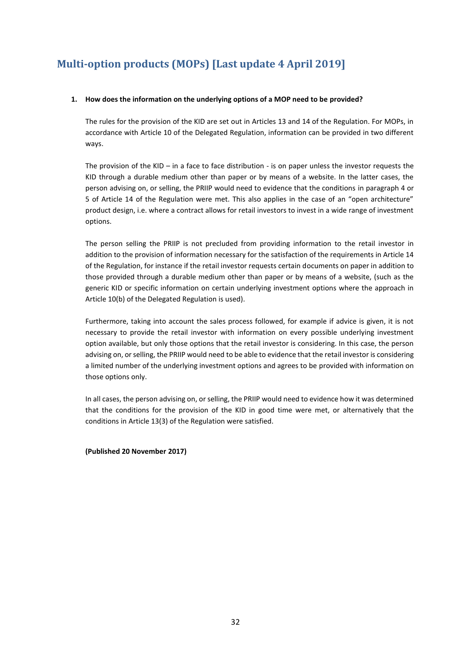# <span id="page-31-0"></span>**Multi-option products (MOPs) [Last update 4 April 2019]**

#### **1. How does the information on the underlying options of a MOP need to be provided?**

The rules for the provision of the KID are set out in Articles 13 and 14 of the Regulation. For MOPs, in accordance with Article 10 of the Delegated Regulation, information can be provided in two different ways.

The provision of the KID – in a face to face distribution - is on paper unless the investor requests the KID through a durable medium other than paper or by means of a website. In the latter cases, the person advising on, or selling, the PRIIP would need to evidence that the conditions in paragraph 4 or 5 of Article 14 of the Regulation were met. This also applies in the case of an "open architecture" product design, i.e. where a contract allows for retail investors to invest in a wide range of investment options.

The person selling the PRIIP is not precluded from providing information to the retail investor in addition to the provision of information necessary for the satisfaction of the requirements in Article 14 of the Regulation, for instance if the retail investor requests certain documents on paper in addition to those provided through a durable medium other than paper or by means of a website, (such as the generic KID or specific information on certain underlying investment options where the approach in Article 10(b) of the Delegated Regulation is used).

Furthermore, taking into account the sales process followed, for example if advice is given, it is not necessary to provide the retail investor with information on every possible underlying investment option available, but only those options that the retail investor is considering. In this case, the person advising on, or selling, the PRIIP would need to be able to evidence that the retail investor is considering a limited number of the underlying investment options and agrees to be provided with information on those options only.

In all cases, the person advising on, or selling, the PRIIP would need to evidence how it was determined that the conditions for the provision of the KID in good time were met, or alternatively that the conditions in Article 13(3) of the Regulation were satisfied.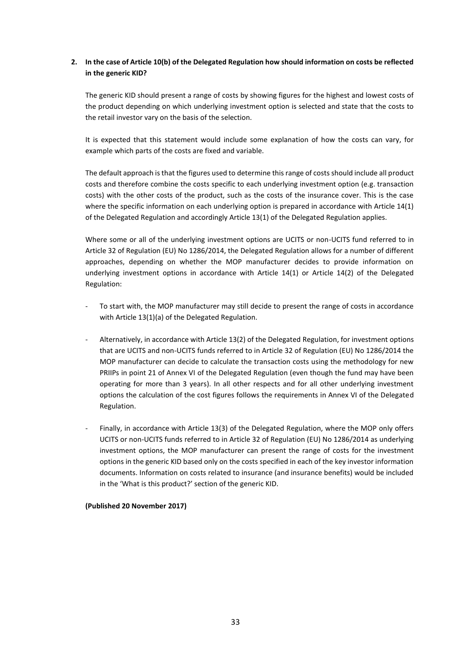# **2. In the case of Article 10(b) of the Delegated Regulation how should information on costs be reflected in the generic KID?**

The generic KID should present a range of costs by showing figures for the highest and lowest costs of the product depending on which underlying investment option is selected and state that the costs to the retail investor vary on the basis of the selection.

It is expected that this statement would include some explanation of how the costs can vary, for example which parts of the costs are fixed and variable.

The default approach is that the figures used to determine this range of costs should include all product costs and therefore combine the costs specific to each underlying investment option (e.g. transaction costs) with the other costs of the product, such as the costs of the insurance cover. This is the case where the specific information on each underlying option is prepared in accordance with Article 14(1) of the Delegated Regulation and accordingly Article 13(1) of the Delegated Regulation applies.

Where some or all of the underlying investment options are UCITS or non-UCITS fund referred to in Article 32 of Regulation (EU) No 1286/2014, the Delegated Regulation allows for a number of different approaches, depending on whether the MOP manufacturer decides to provide information on underlying investment options in accordance with Article 14(1) or Article 14(2) of the Delegated Regulation:

- To start with, the MOP manufacturer may still decide to present the range of costs in accordance with Article 13(1)(a) of the Delegated Regulation.
- Alternatively, in accordance with Article 13(2) of the Delegated Regulation, for investment options that are UCITS and non-UCITS funds referred to in Article 32 of Regulation (EU) No 1286/2014 the MOP manufacturer can decide to calculate the transaction costs using the methodology for new PRIIPs in point 21 of Annex VI of the Delegated Regulation (even though the fund may have been operating for more than 3 years). In all other respects and for all other underlying investment options the calculation of the cost figures follows the requirements in Annex VI of the Delegated Regulation.
- Finally, in accordance with Article 13(3) of the Delegated Regulation, where the MOP only offers UCITS or non-UCITS funds referred to in Article 32 of Regulation (EU) No 1286/2014 as underlying investment options, the MOP manufacturer can present the range of costs for the investment options in the generic KID based only on the costs specified in each of the key investor information documents. Information on costs related to insurance (and insurance benefits) would be included in the 'What is this product?' section of the generic KID.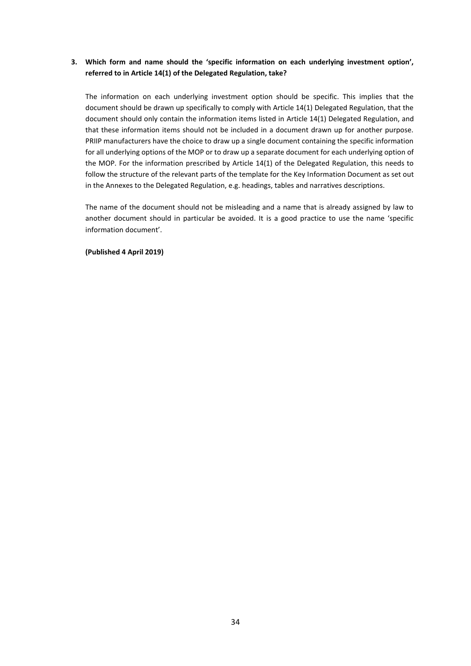# **3. Which form and name should the 'specific information on each underlying investment option', referred to in Article 14(1) of the Delegated Regulation, take?**

The information on each underlying investment option should be specific. This implies that the document should be drawn up specifically to comply with Article 14(1) Delegated Regulation, that the document should only contain the information items listed in Article 14(1) Delegated Regulation, and that these information items should not be included in a document drawn up for another purpose. PRIIP manufacturers have the choice to draw up a single document containing the specific information for all underlying options of the MOP or to draw up a separate document for each underlying option of the MOP. For the information prescribed by Article 14(1) of the Delegated Regulation, this needs to follow the structure of the relevant parts of the template for the Key Information Document as set out in the Annexes to the Delegated Regulation, e.g. headings, tables and narratives descriptions.

The name of the document should not be misleading and a name that is already assigned by law to another document should in particular be avoided. It is a good practice to use the name 'specific information document'.

**(Published 4 April 2019)**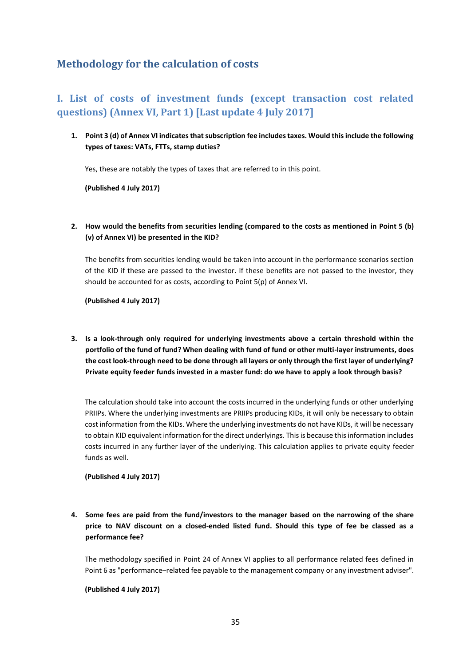# <span id="page-34-0"></span>**Methodology for the calculation of costs**

# <span id="page-34-1"></span>**I. List of costs of investment funds (except transaction cost related questions) (Annex VI, Part 1) [Last update 4 July 2017]**

**1. Point 3 (d) of Annex VI indicates that subscription fee includes taxes. Would this include the following types of taxes: VATs, FTTs, stamp duties?**

Yes, these are notably the types of taxes that are referred to in this point.

**(Published 4 July 2017)**

**2. How would the benefits from securities lending (compared to the costs as mentioned in Point 5 (b) (v) of Annex VI) be presented in the KID?** 

The benefits from securities lending would be taken into account in the performance scenarios section of the KID if these are passed to the investor. If these benefits are not passed to the investor, they should be accounted for as costs, according to Point 5(p) of Annex VI.

**(Published 4 July 2017)**

**3. Is a look-through only required for underlying investments above a certain threshold within the portfolio of the fund of fund? When dealing with fund of fund or other multi-layer instruments, does the cost look-through need to be done through all layers or only through the first layer of underlying? Private equity feeder funds invested in a master fund: do we have to apply a look through basis?**

The calculation should take into account the costs incurred in the underlying funds or other underlying PRIIPs. Where the underlying investments are PRIIPs producing KIDs, it will only be necessary to obtain cost information from the KIDs. Where the underlying investments do not have KIDs, it will be necessary to obtain KID equivalent information for the direct underlyings. This is because this information includes costs incurred in any further layer of the underlying. This calculation applies to private equity feeder funds as well.

**(Published 4 July 2017)**

**4. Some fees are paid from the fund/investors to the manager based on the narrowing of the share price to NAV discount on a closed-ended listed fund. Should this type of fee be classed as a performance fee?** 

The methodology specified in Point 24 of Annex VI applies to all performance related fees defined in Point 6 as "performance–related fee payable to the management company or any investment adviser".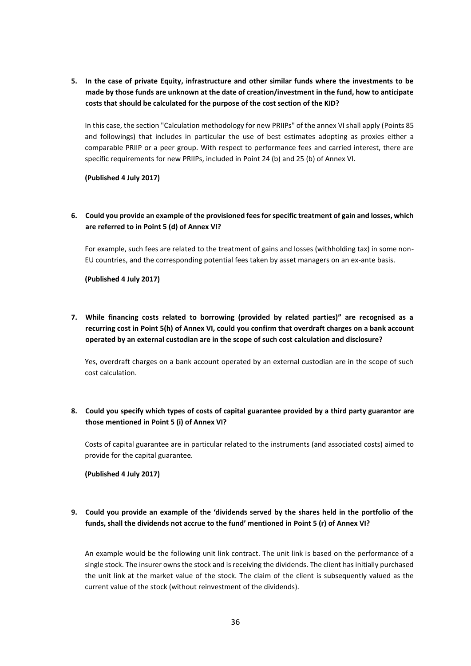**5. In the case of private Equity, infrastructure and other similar funds where the investments to be made by those funds are unknown at the date of creation/investment in the fund, how to anticipate costs that should be calculated for the purpose of the cost section of the KID?** 

In this case, the section "Calculation methodology for new PRIIPs" of the annex VI shall apply (Points 85 and followings) that includes in particular the use of best estimates adopting as proxies either a comparable PRIIP or a peer group. With respect to performance fees and carried interest, there are specific requirements for new PRIIPs, included in Point 24 (b) and 25 (b) of Annex VI.

**(Published 4 July 2017)**

### **6. Could you provide an example of the provisioned fees for specific treatment of gain and losses, which are referred to in Point 5 (d) of Annex VI?**

For example, such fees are related to the treatment of gains and losses (withholding tax) in some non-EU countries, and the corresponding potential fees taken by asset managers on an ex-ante basis.

**(Published 4 July 2017)**

**7. While financing costs related to borrowing (provided by related parties)" are recognised as a recurring cost in Point 5(h) of Annex VI, could you confirm that overdraft charges on a bank account operated by an external custodian are in the scope of such cost calculation and disclosure?** 

Yes, overdraft charges on a bank account operated by an external custodian are in the scope of such cost calculation.

# **8. Could you specify which types of costs of capital guarantee provided by a third party guarantor are those mentioned in Point 5 (i) of Annex VI?**

Costs of capital guarantee are in particular related to the instruments (and associated costs) aimed to provide for the capital guarantee.

**(Published 4 July 2017)**

# **9. Could you provide an example of the 'dividends served by the shares held in the portfolio of the funds, shall the dividends not accrue to the fund' mentioned in Point 5 (r) of Annex VI?**

An example would be the following unit link contract. The unit link is based on the performance of a single stock. The insurer owns the stock and is receiving the dividends. The client has initially purchased the unit link at the market value of the stock. The claim of the client is subsequently valued as the current value of the stock (without reinvestment of the dividends).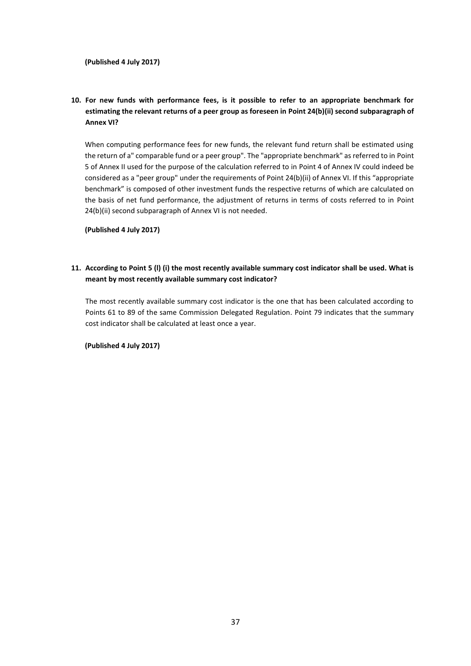# **10. For new funds with performance fees, is it possible to refer to an appropriate benchmark for estimating the relevant returns of a peer group as foreseen in Point 24(b)(ii) second subparagraph of Annex VI?**

When computing performance fees for new funds, the relevant fund return shall be estimated using the return of a" comparable fund or a peer group". The "appropriate benchmark" as referred to in Point 5 of Annex II used for the purpose of the calculation referred to in Point 4 of Annex IV could indeed be considered as a "peer group" under the requirements of Point 24(b)(ii) of Annex VI. If this "appropriate benchmark" is composed of other investment funds the respective returns of which are calculated on the basis of net fund performance, the adjustment of returns in terms of costs referred to in Point 24(b)(ii) second subparagraph of Annex VI is not needed.

**(Published 4 July 2017)**

### **11. According to Point 5 (l) (i) the most recently available summary cost indicator shall be used. What is meant by most recently available summary cost indicator?**

The most recently available summary cost indicator is the one that has been calculated according to Points 61 to 89 of the same Commission Delegated Regulation. Point 79 indicates that the summary cost indicator shall be calculated at least once a year.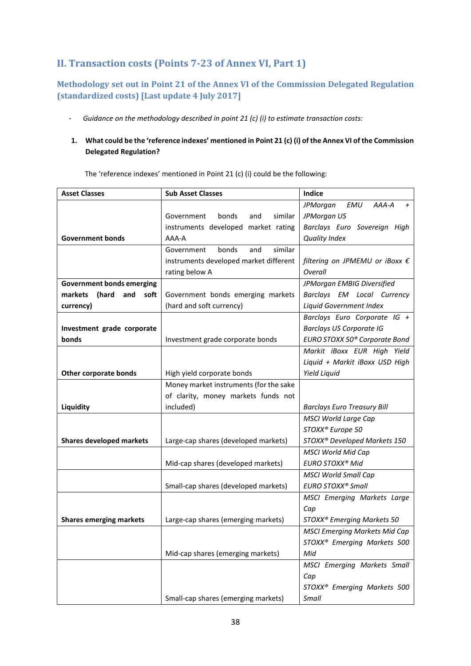# <span id="page-37-0"></span>**II. Transaction costs (Points 7-23 of Annex VI, Part 1)**

# <span id="page-37-1"></span>**Methodology set out in Point 21 of the Annex VI of the Commission Delegated Regulation (standardized costs) [Last update 4 July 2017]**

- *Guidance on the methodology described in point 21 (c) (i) to estimate transaction costs:*
- **1. What could be the 'reference indexes' mentioned in Point 21 (c) (i) of the Annex VI of the Commission Delegated Regulation?**

The 'reference indexes' mentioned in Point 21 (c) (i) could be the following:

| <b>Asset Classes</b>             | <b>Sub Asset Classes</b>               | Indice                                     |  |  |
|----------------------------------|----------------------------------------|--------------------------------------------|--|--|
|                                  |                                        | AAA-A<br>JPMorgan<br>EMU<br>$\overline{+}$ |  |  |
|                                  | bonds<br>Government<br>and<br>similar  | JPMorgan US                                |  |  |
|                                  | instruments developed market rating    | Barclays Euro Sovereign High               |  |  |
| <b>Government bonds</b>          | AAA-A                                  | <b>Quality Index</b>                       |  |  |
|                                  | similar<br>bonds<br>and<br>Government  |                                            |  |  |
|                                  | instruments developed market different | filtering on JPMEMU or iBoxx €             |  |  |
|                                  | rating below A                         | Overall                                    |  |  |
| <b>Government bonds emerging</b> |                                        | JPMorgan EMBIG Diversified                 |  |  |
| (hard<br>markets<br>and<br>soft  | Government bonds emerging markets      | Barclays EM Local Currency                 |  |  |
| currency)                        | (hard and soft currency)               | Liquid Government Index                    |  |  |
|                                  |                                        | Barclays Euro Corporate IG +               |  |  |
| Investment grade corporate       |                                        | <b>Barclays US Corporate IG</b>            |  |  |
| bonds                            | Investment grade corporate bonds       | EURO STOXX 50 <sup>®</sup> Corporate Bond  |  |  |
|                                  |                                        | Markit iBoxx EUR High Yield                |  |  |
|                                  |                                        | Liquid + Markit iBoxx USD High             |  |  |
| Other corporate bonds            | High yield corporate bonds             | Yield Liquid                               |  |  |
|                                  | Money market instruments (for the sake |                                            |  |  |
|                                  | of clarity, money markets funds not    |                                            |  |  |
| Liquidity                        | included)                              | <b>Barclays Euro Treasury Bill</b>         |  |  |
|                                  |                                        | <b>MSCI World Large Cap</b>                |  |  |
|                                  |                                        | STOXX® Europe 50                           |  |  |
| <b>Shares developed markets</b>  | Large-cap shares (developed markets)   | STOXX® Developed Markets 150               |  |  |
|                                  |                                        | <b>MSCI World Mid Cap</b>                  |  |  |
|                                  | Mid-cap shares (developed markets)     | EURO STOXX <sup>®</sup> Mid                |  |  |
|                                  |                                        | <b>MSCI World Small Cap</b>                |  |  |
|                                  | Small-cap shares (developed markets)   | EURO STOXX <sup>®</sup> Small              |  |  |
|                                  |                                        | MSCI Emerging Markets Large                |  |  |
|                                  |                                        | Cap                                        |  |  |
| <b>Shares emerging markets</b>   | Large-cap shares (emerging markets)    | STOXX® Emerging Markets 50                 |  |  |
|                                  |                                        | <b>MSCI Emerging Markets Mid Cap</b>       |  |  |
|                                  |                                        | STOXX <sup>®</sup> Emerging Markets 500    |  |  |
|                                  | Mid-cap shares (emerging markets)      | Mid                                        |  |  |
|                                  |                                        | MSCI Emerging Markets Small                |  |  |
|                                  |                                        | Cap                                        |  |  |
|                                  |                                        | STOXX <sup>®</sup> Emerging Markets 500    |  |  |
|                                  | Small-cap shares (emerging markets)    | Small                                      |  |  |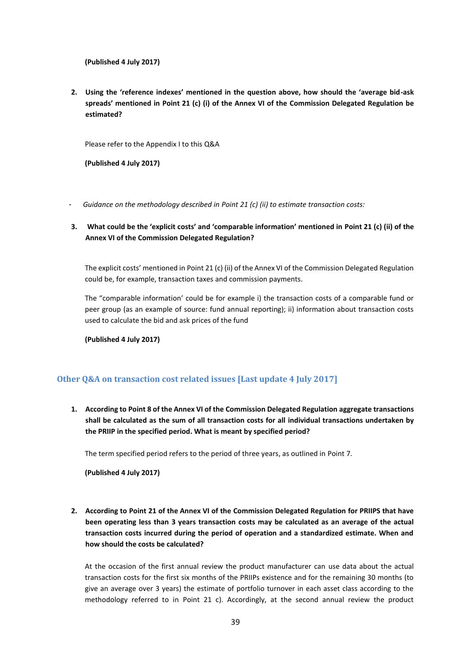**(Published 4 July 2017)**

**2. Using the 'reference indexes' mentioned in the question above, how should the 'average bid-ask spreads' mentioned in Point 21 (c) (i) of the Annex VI of the Commission Delegated Regulation be estimated?**

Please refer to the Appendix I to this Q&A

**(Published 4 July 2017)**

- *Guidance on the methodology described in Point 21 (c) (ii) to estimate transaction costs:*
- **3. What could be the 'explicit costs' and 'comparable information' mentioned in Point 21 (c) (ii) of the Annex VI of the Commission Delegated Regulation?**

The explicit costs' mentioned in Point 21 (c) (ii) of the Annex VI of the Commission Delegated Regulation could be, for example, transaction taxes and commission payments.

The "comparable information' could be for example i) the transaction costs of a comparable fund or peer group (as an example of source: fund annual reporting); ii) information about transaction costs used to calculate the bid and ask prices of the fund

**(Published 4 July 2017)**

# <span id="page-38-0"></span>**Other Q&A on transaction cost related issues [Last update 4 July 2017]**

**1. According to Point 8 of the Annex VI of the Commission Delegated Regulation aggregate transactions shall be calculated as the sum of all transaction costs for all individual transactions undertaken by the PRIIP in the specified period. What is meant by specified period?**

The term specified period refers to the period of three years, as outlined in Point 7.

**(Published 4 July 2017)**

**2. According to Point 21 of the Annex VI of the Commission Delegated Regulation for PRIIPS that have been operating less than 3 years transaction costs may be calculated as an average of the actual transaction costs incurred during the period of operation and a standardized estimate. When and how should the costs be calculated?**

At the occasion of the first annual review the product manufacturer can use data about the actual transaction costs for the first six months of the PRIIPs existence and for the remaining 30 months (to give an average over 3 years) the estimate of portfolio turnover in each asset class according to the methodology referred to in Point 21 c). Accordingly, at the second annual review the product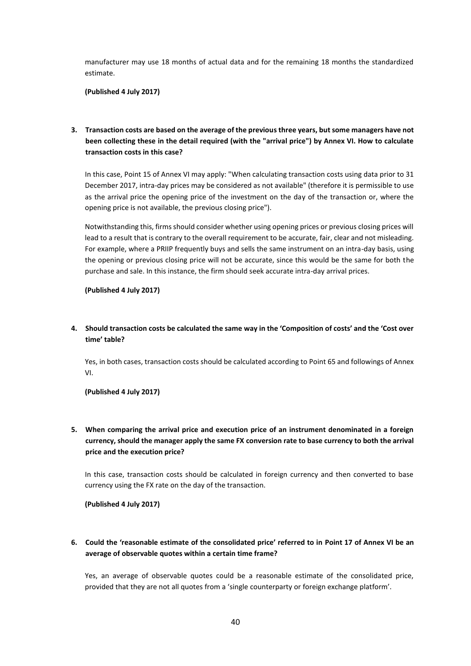manufacturer may use 18 months of actual data and for the remaining 18 months the standardized estimate.

**(Published 4 July 2017)**

**3. Transaction costs are based on the average of the previous three years, but some managers have not been collecting these in the detail required (with the "arrival price") by Annex VI. How to calculate transaction costs in this case?**

In this case, Point 15 of Annex VI may apply: "When calculating transaction costs using data prior to 31 December 2017, intra-day prices may be considered as not available" (therefore it is permissible to use as the arrival price the opening price of the investment on the day of the transaction or, where the opening price is not available, the previous closing price").

Notwithstanding this, firms should consider whether using opening prices or previous closing prices will lead to a result that is contrary to the overall requirement to be accurate, fair, clear and not misleading. For example, where a PRIIP frequently buys and sells the same instrument on an intra-day basis, using the opening or previous closing price will not be accurate, since this would be the same for both the purchase and sale. In this instance, the firm should seek accurate intra-day arrival prices.

**(Published 4 July 2017)**

**4. Should transaction costs be calculated the same way in the 'Composition of costs' and the 'Cost over time' table?**

Yes, in both cases, transaction costs should be calculated according to Point 65 and followings of Annex VI.

#### **(Published 4 July 2017)**

**5. When comparing the arrival price and execution price of an instrument denominated in a foreign currency, should the manager apply the same FX conversion rate to base currency to both the arrival price and the execution price?** 

In this case, transaction costs should be calculated in foreign currency and then converted to base currency using the FX rate on the day of the transaction.

**(Published 4 July 2017)**

**6. Could the 'reasonable estimate of the consolidated price' referred to in Point 17 of Annex VI be an average of observable quotes within a certain time frame?** 

Yes, an average of observable quotes could be a reasonable estimate of the consolidated price, provided that they are not all quotes from a 'single counterparty or foreign exchange platform'.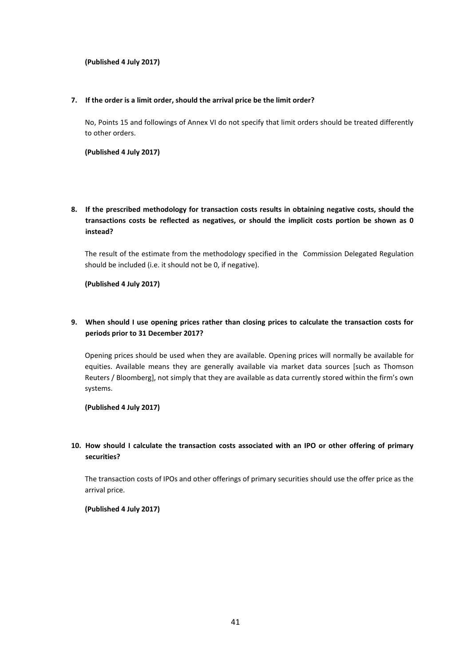#### **(Published 4 July 2017)**

#### **7. If the order is a limit order, should the arrival price be the limit order?**

No, Points 15 and followings of Annex VI do not specify that limit orders should be treated differently to other orders.

**(Published 4 July 2017)**

**8. If the prescribed methodology for transaction costs results in obtaining negative costs, should the transactions costs be reflected as negatives, or should the implicit costs portion be shown as 0 instead?**

The result of the estimate from the methodology specified in the Commission Delegated Regulation should be included (i.e. it should not be 0, if negative).

**(Published 4 July 2017)**

# **9. When should I use opening prices rather than closing prices to calculate the transaction costs for periods prior to 31 December 2017?**

Opening prices should be used when they are available. Opening prices will normally be available for equities. Available means they are generally available via market data sources [such as Thomson Reuters / Bloomberg], not simply that they are available as data currently stored within the firm's own systems.

**(Published 4 July 2017)**

# **10. How should I calculate the transaction costs associated with an IPO or other offering of primary securities?**

The transaction costs of IPOs and other offerings of primary securities should use the offer price as the arrival price.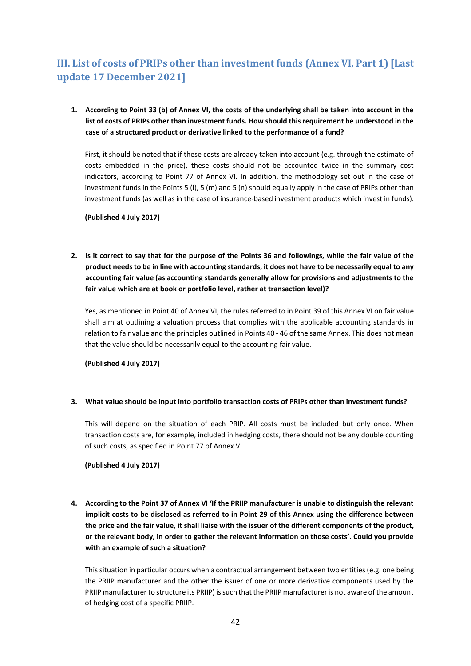# <span id="page-41-0"></span>**III. List of costs of PRIPs other than investment funds (Annex VI, Part 1) [Last update 17 December 2021]**

# **1. According to Point 33 (b) of Annex VI, the costs of the underlying shall be taken into account in the list of costs of PRIPs other than investment funds. How should this requirement be understood in the case of a structured product or derivative linked to the performance of a fund?**

First, it should be noted that if these costs are already taken into account (e.g. through the estimate of costs embedded in the price), these costs should not be accounted twice in the summary cost indicators, according to Point 77 of Annex VI. In addition, the methodology set out in the case of investment funds in the Points 5 (l), 5 (m) and 5 (n) should equally apply in the case of PRIPs other than investment funds (as well as in the case of insurance-based investment products which invest in funds).

#### **(Published 4 July 2017)**

**2. Is it correct to say that for the purpose of the Points 36 and followings, while the fair value of the product needs to be in line with accounting standards, it does not have to be necessarily equal to any accounting fair value (as accounting standards generally allow for provisions and adjustments to the fair value which are at book or portfolio level, rather at transaction level)?**

Yes, as mentioned in Point 40 of Annex VI, the rules referred to in Point 39 of this Annex VI on fair value shall aim at outlining a valuation process that complies with the applicable accounting standards in relation to fair value and the principles outlined in Points 40 - 46 of the same Annex. This does not mean that the value should be necessarily equal to the accounting fair value.

**(Published 4 July 2017)**

### **3. What value should be input into portfolio transaction costs of PRIPs other than investment funds?**

This will depend on the situation of each PRIP. All costs must be included but only once. When transaction costs are, for example, included in hedging costs, there should not be any double counting of such costs, as specified in Point 77 of Annex VI.

### **(Published 4 July 2017)**

**4. According to the Point 37 of Annex VI 'If the PRIIP manufacturer is unable to distinguish the relevant implicit costs to be disclosed as referred to in Point 29 of this Annex using the difference between the price and the fair value, it shall liaise with the issuer of the different components of the product, or the relevant body, in order to gather the relevant information on those costs'. Could you provide with an example of such a situation?** 

This situation in particular occurs when a contractual arrangement between two entities (e.g. one being the PRIIP manufacturer and the other the issuer of one or more derivative components used by the PRIIP manufacturer to structure its PRIIP) is such that the PRIIP manufacturer is not aware of the amount of hedging cost of a specific PRIIP.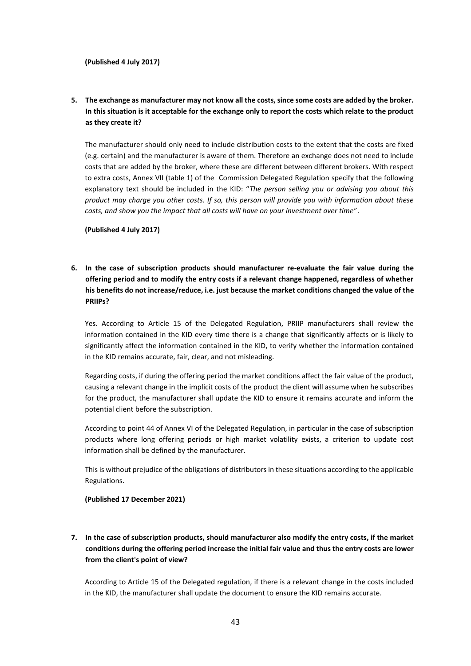# **5. The exchange as manufacturer may not know all the costs, since some costs are added by the broker. In this situation is it acceptable for the exchange only to report the costs which relate to the product as they create it?**

The manufacturer should only need to include distribution costs to the extent that the costs are fixed (e.g. certain) and the manufacturer is aware of them. Therefore an exchange does not need to include costs that are added by the broker, where these are different between different brokers. With respect to extra costs, Annex VII (table 1) of the Commission Delegated Regulation specify that the following explanatory text should be included in the KID: "*The person selling you or advising you about this product may charge you other costs. If so, this person will provide you with information about these costs, and show you the impact that all costs will have on your investment over time*".

**(Published 4 July 2017)**

**6. In the case of subscription products should manufacturer re-evaluate the fair value during the offering period and to modify the entry costs if a relevant change happened, regardless of whether his benefits do not increase/reduce, i.e. just because the market conditions changed the value of the PRIIPs?**

Yes. According to Article 15 of the Delegated Regulation, PRIIP manufacturers shall review the information contained in the KID every time there is a change that significantly affects or is likely to significantly affect the information contained in the KID, to verify whether the information contained in the KID remains accurate, fair, clear, and not misleading.

Regarding costs, if during the offering period the market conditions affect the fair value of the product, causing a relevant change in the implicit costs of the product the client will assume when he subscribes for the product, the manufacturer shall update the KID to ensure it remains accurate and inform the potential client before the subscription.

According to point 44 of Annex VI of the Delegated Regulation, in particular in the case of subscription products where long offering periods or high market volatility exists, a criterion to update cost information shall be defined by the manufacturer.

This is without prejudice of the obligations of distributors in these situations according to the applicable Regulations.

**(Published 17 December 2021)**

# **7. In the case of subscription products, should manufacturer also modify the entry costs, if the market conditions during the offering period increase the initial fair value and thus the entry costs are lower from the client's point of view?**

According to Article 15 of the Delegated regulation, if there is a relevant change in the costs included in the KID, the manufacturer shall update the document to ensure the KID remains accurate.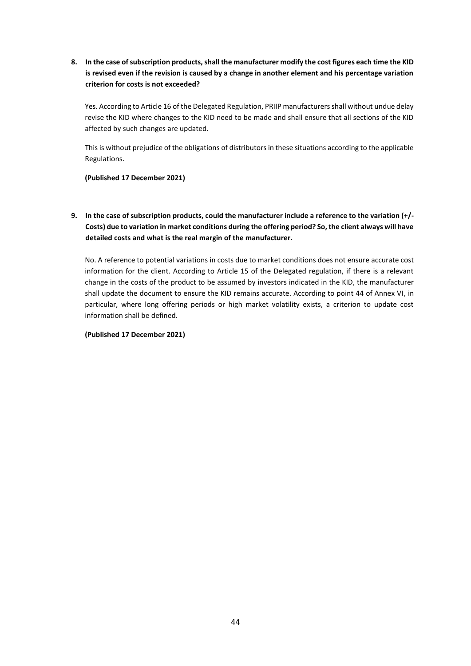**8. In the case of subscription products, shall the manufacturer modify the cost figures each time the KID is revised even if the revision is caused by a change in another element and his percentage variation criterion for costs is not exceeded?**

Yes. According to Article 16 of the Delegated Regulation, PRIIP manufacturers shall without undue delay revise the KID where changes to the KID need to be made and shall ensure that all sections of the KID affected by such changes are updated.

This is without prejudice of the obligations of distributors in these situations according to the applicable Regulations.

#### **(Published 17 December 2021)**

**9. In the case of subscription products, could the manufacturer include a reference to the variation (+/- Costs) due to variation in market conditions during the offering period? So, the client always will have detailed costs and what is the real margin of the manufacturer.** 

No. A reference to potential variations in costs due to market conditions does not ensure accurate cost information for the client. According to Article 15 of the Delegated regulation, if there is a relevant change in the costs of the product to be assumed by investors indicated in the KID, the manufacturer shall update the document to ensure the KID remains accurate. According to point 44 of Annex VI, in particular, where long offering periods or high market volatility exists, a criterion to update cost information shall be defined.

#### **(Published 17 December 2021)**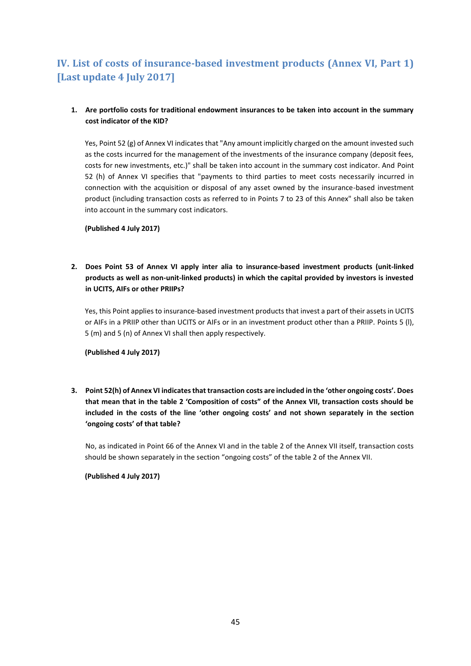# <span id="page-44-0"></span>**IV. List of costs of insurance-based investment products (Annex VI, Part 1) [Last update 4 July 2017]**

### **1. Are portfolio costs for traditional endowment insurances to be taken into account in the summary cost indicator of the KID?**

Yes, Point 52 (g) of Annex VI indicates that "Any amount implicitly charged on the amount invested such as the costs incurred for the management of the investments of the insurance company (deposit fees, costs for new investments, etc.)" shall be taken into account in the summary cost indicator. And Point 52 (h) of Annex VI specifies that "payments to third parties to meet costs necessarily incurred in connection with the acquisition or disposal of any asset owned by the insurance-based investment product (including transaction costs as referred to in Points 7 to 23 of this Annex" shall also be taken into account in the summary cost indicators.

**(Published 4 July 2017)**

**2. Does Point 53 of Annex VI apply inter alia to insurance-based investment products (unit-linked products as well as non-unit-linked products) in which the capital provided by investors is invested in UCITS, AIFs or other PRIIPs?**

Yes, this Point applies to insurance-based investment products that invest a part of their assets in UCITS or AIFs in a PRIIP other than UCITS or AIFs or in an investment product other than a PRIIP. Points 5 (l), 5 (m) and 5 (n) of Annex VI shall then apply respectively.

**(Published 4 July 2017)**

**3. Point 52(h) of Annex VI indicates that transaction costs are included in the 'other ongoing costs'. Does that mean that in the table 2 'Composition of costs" of the Annex VII, transaction costs should be included in the costs of the line 'other ongoing costs' and not shown separately in the section 'ongoing costs' of that table?** 

No, as indicated in Point 66 of the Annex VI and in the table 2 of the Annex VII itself, transaction costs should be shown separately in the section "ongoing costs" of the table 2 of the Annex VII.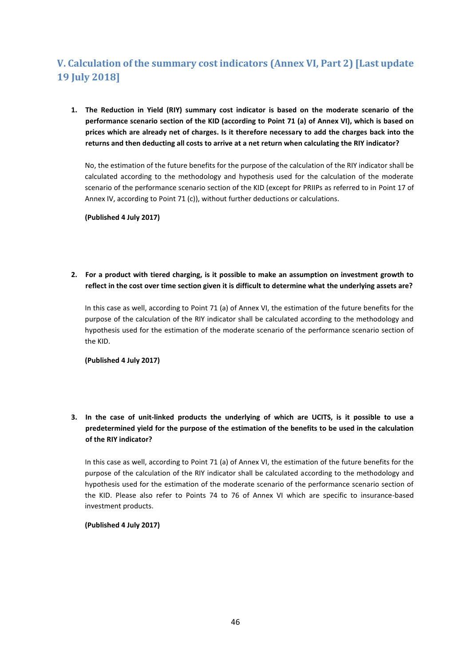# <span id="page-45-0"></span>**V. Calculation of the summary cost indicators (Annex VI, Part 2) [Last update 19 July 2018]**

**1. The Reduction in Yield (RIY) summary cost indicator is based on the moderate scenario of the performance scenario section of the KID (according to Point 71 (a) of Annex VI), which is based on prices which are already net of charges. Is it therefore necessary to add the charges back into the returns and then deducting all costs to arrive at a net return when calculating the RIY indicator?** 

No, the estimation of the future benefits for the purpose of the calculation of the RIY indicator shall be calculated according to the methodology and hypothesis used for the calculation of the moderate scenario of the performance scenario section of the KID (except for PRIIPs as referred to in Point 17 of Annex IV, according to Point 71 (c)), without further deductions or calculations.

**(Published 4 July 2017)**

**2. For a product with tiered charging, is it possible to make an assumption on investment growth to reflect in the cost over time section given it is difficult to determine what the underlying assets are?** 

In this case as well, according to Point 71 (a) of Annex VI, the estimation of the future benefits for the purpose of the calculation of the RIY indicator shall be calculated according to the methodology and hypothesis used for the estimation of the moderate scenario of the performance scenario section of the KID.

**(Published 4 July 2017)**

**3. In the case of unit-linked products the underlying of which are UCITS, is it possible to use a predetermined yield for the purpose of the estimation of the benefits to be used in the calculation of the RIY indicator?**

In this case as well, according to Point 71 (a) of Annex VI, the estimation of the future benefits for the purpose of the calculation of the RIY indicator shall be calculated according to the methodology and hypothesis used for the estimation of the moderate scenario of the performance scenario section of the KID. Please also refer to Points 74 to 76 of Annex VI which are specific to insurance-based investment products.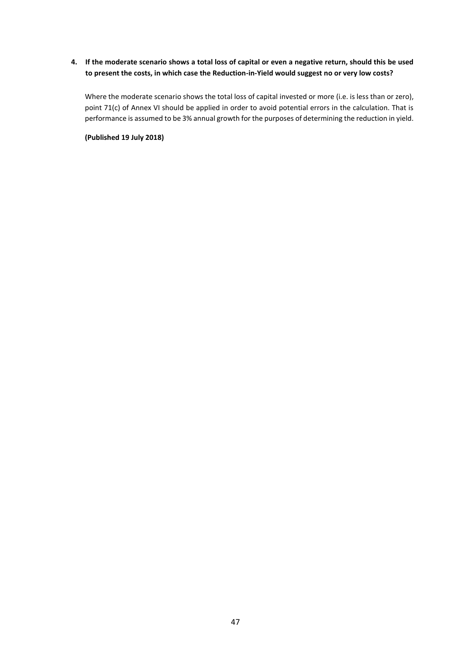# **4. If the moderate scenario shows a total loss of capital or even a negative return, should this be used to present the costs, in which case the Reduction-in-Yield would suggest no or very low costs?**

Where the moderate scenario shows the total loss of capital invested or more (i.e. is less than or zero), point 71(c) of Annex VI should be applied in order to avoid potential errors in the calculation. That is performance is assumed to be 3% annual growth for the purposes of determining the reduction in yield.

**(Published 19 July 2018)**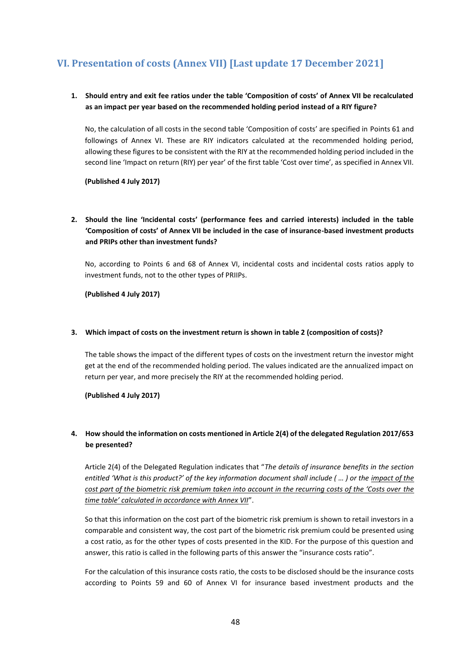# <span id="page-47-0"></span>**VI. Presentation of costs (Annex VII) [Last update 17 December 2021]**

# **1. Should entry and exit fee ratios under the table 'Composition of costs' of Annex VII be recalculated as an impact per year based on the recommended holding period instead of a RIY figure?**

No, the calculation of all costs in the second table 'Composition of costs' are specified in Points 61 and followings of Annex VI. These are RIY indicators calculated at the recommended holding period, allowing these figures to be consistent with the RIY at the recommended holding period included in the second line 'Impact on return (RIY) per year' of the first table 'Cost over time', as specified in Annex VII.

**(Published 4 July 2017)**

# **2. Should the line 'Incidental costs' (performance fees and carried interests) included in the table 'Composition of costs' of Annex VII be included in the case of insurance-based investment products and PRIPs other than investment funds?**

No, according to Points 6 and 68 of Annex VI, incidental costs and incidental costs ratios apply to investment funds, not to the other types of PRIIPs.

**(Published 4 July 2017)**

#### **3. Which impact of costs on the investment return is shown in table 2 (composition of costs)?**

The table shows the impact of the different types of costs on the investment return the investor might get at the end of the recommended holding period. The values indicated are the annualized impact on return per year, and more precisely the RIY at the recommended holding period.

**(Published 4 July 2017)**

### **4. How should the information on costs mentioned in Article 2(4) of the delegated Regulation 2017/653 be presented?**

Article 2(4) of the Delegated Regulation indicates that "*The details of insurance benefits in the section entitled 'What is this product?' of the key information document shall include ( ... ) or the impact of the cost part of the biometric risk premium taken into account in the recurring costs of the 'Costs over the time table' calculated in accordance with Annex VII*".

So that this information on the cost part of the biometric risk premium is shown to retail investors in a comparable and consistent way, the cost part of the biometric risk premium could be presented using a cost ratio, as for the other types of costs presented in the KID. For the purpose of this question and answer, this ratio is called in the following parts of this answer the "insurance costs ratio".

For the calculation of this insurance costs ratio, the costs to be disclosed should be the insurance costs according to Points 59 and 60 of Annex VI for insurance based investment products and the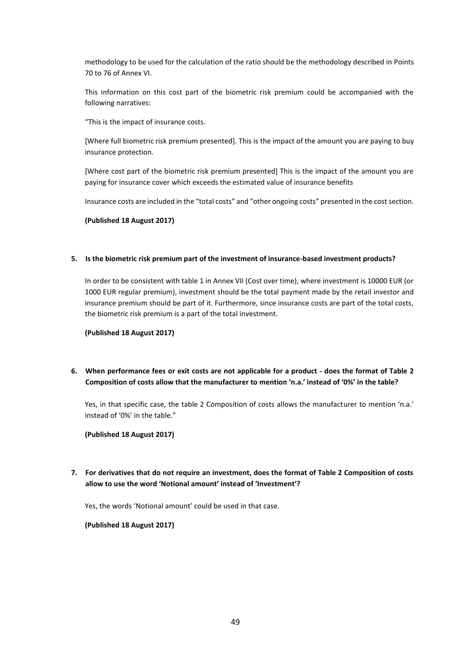methodology to be used for the calculation of the ratio should be the methodology described in Points 70 to 76 of Annex VI.

This information on this cost part of the biometric risk premium could be accompanied with the following narratives:

"This is the impact of insurance costs.

[Where full biometric risk premium presented]. This is the impact of the amount you are paying to buy insurance protection.

[Where cost part of the biometric risk premium presented] This is the impact of the amount you are paying for insurance cover which exceeds the estimated value of insurance benefits

Insurance costs are included in the "total costs" and "other ongoing costs" presented in the cost section.

**(Published 18 August 2017)**

#### **5. Is the biometric risk premium part of the investment of insurance-based investment products?**

In order to be consistent with table 1 in Annex VII (Cost over time), where investment is 10000 EUR (or 1000 EUR regular premium), investment should be the total payment made by the retail investor and insurance premium should be part of it. Furthermore, since insurance costs are part of the total costs, the biometric risk premium is a part of the total investment.

**(Published 18 August 2017)**

**6. When performance fees or exit costs are not applicable for a product - does the format of Table 2 Composition of costs allow that the manufacturer to mention 'n.a.' instead of '0%' in the table?** 

Yes, in that specific case, the table 2 Composition of costs allows the manufacturer to mention 'n.a.' instead of '0%' in the table."

**(Published 18 August 2017)**

**7. For derivatives that do not require an investment, does the format of Table 2 Composition of costs allow to use the word 'Notional amount' instead of 'Investment'?**

Yes, the words 'Notional amount' could be used in that case.

**(Published 18 August 2017)**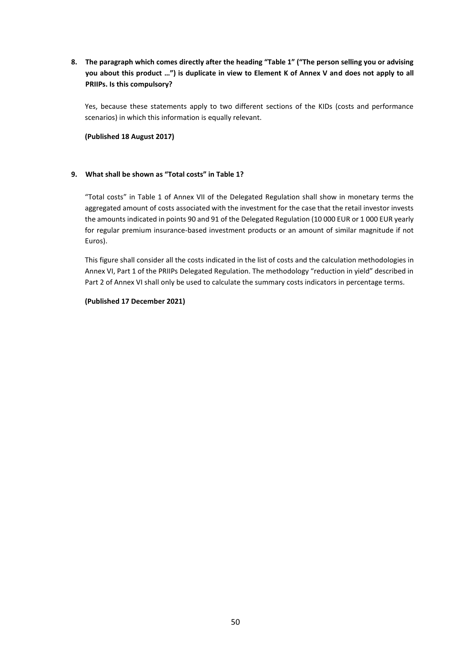**8. The paragraph which comes directly after the heading "Table 1" ("The person selling you or advising you about this product …") is duplicate in view to Element K of Annex V and does not apply to all PRIIPs. Is this compulsory?** 

Yes, because these statements apply to two different sections of the KIDs (costs and performance scenarios) in which this information is equally relevant.

**(Published 18 August 2017)**

#### **9. What shall be shown as "Total costs" in Table 1?**

"Total costs" in Table 1 of Annex VII of the Delegated Regulation shall show in monetary terms the aggregated amount of costs associated with the investment for the case that the retail investor invests the amounts indicated in points 90 and 91 of the Delegated Regulation (10 000 EUR or 1 000 EUR yearly for regular premium insurance-based investment products or an amount of similar magnitude if not Euros).

This figure shall consider all the costs indicated in the list of costs and the calculation methodologies in Annex VI, Part 1 of the PRIIPs Delegated Regulation. The methodology "reduction in yield" described in Part 2 of Annex VI shall only be used to calculate the summary costs indicators in percentage terms.

#### **(Published 17 December 2021)**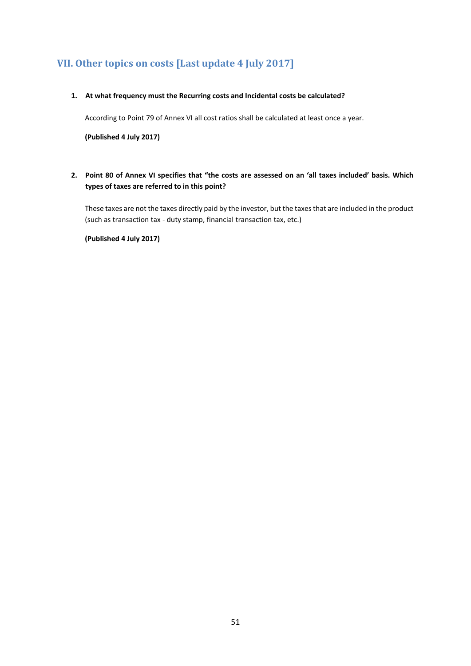# <span id="page-50-0"></span>**VII. Other topics on costs [Last update 4 July 2017]**

#### **1. At what frequency must the Recurring costs and Incidental costs be calculated?**

According to Point 79 of Annex VI all cost ratios shall be calculated at least once a year.

**(Published 4 July 2017)**

**2. Point 80 of Annex VI specifies that "the costs are assessed on an 'all taxes included' basis. Which types of taxes are referred to in this point?**

These taxes are not the taxes directly paid by the investor, but the taxes that are included in the product (such as transaction tax - duty stamp, financial transaction tax, etc.)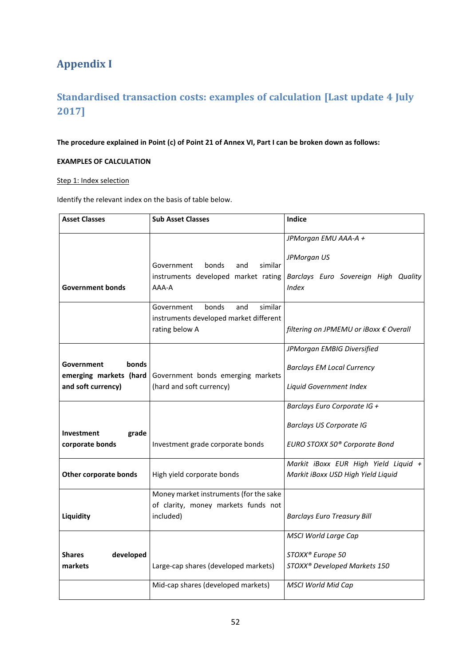# <span id="page-51-0"></span>**Appendix I**

# <span id="page-51-1"></span>**Standardised transaction costs: examples of calculation [Last update 4 July 2017]**

**The procedure explained in Point (c) of Point 21 of Annex VI, Part I can be broken down as follows:**

# **EXAMPLES OF CALCULATION**

### Step 1: Index selection

Identify the relevant index on the basis of table below.

| <b>Asset Classes</b>                 | <b>Sub Asset Classes</b>                                                        | Indice                                               |  |  |
|--------------------------------------|---------------------------------------------------------------------------------|------------------------------------------------------|--|--|
|                                      |                                                                                 | JPMorgan EMU AAA-A +                                 |  |  |
|                                      |                                                                                 | JPMorgan US                                          |  |  |
|                                      | similar<br>Government<br>bonds<br>and                                           |                                                      |  |  |
| <b>Government bonds</b>              | instruments developed market rating<br>AAA-A                                    | Barclays Euro Sovereign High Quality<br><b>Index</b> |  |  |
|                                      |                                                                                 |                                                      |  |  |
|                                      | similar<br>bonds<br>Government<br>and<br>instruments developed market different |                                                      |  |  |
|                                      | rating below A                                                                  | filtering on JPMEMU or iBoxx € Overall               |  |  |
|                                      |                                                                                 | JPMorgan EMBIG Diversified                           |  |  |
| bonds                                |                                                                                 |                                                      |  |  |
| Government<br>emerging markets (hard | Government bonds emerging markets                                               | <b>Barclays EM Local Currency</b>                    |  |  |
| and soft currency)                   | (hard and soft currency)                                                        | Liquid Government Index                              |  |  |
|                                      |                                                                                 | Barclays Euro Corporate IG +                         |  |  |
| grade<br>Investment                  |                                                                                 | <b>Barclays US Corporate IG</b>                      |  |  |
| corporate bonds                      | Investment grade corporate bonds                                                | EURO STOXX 50 <sup>®</sup> Corporate Bond            |  |  |
|                                      |                                                                                 | Markit iBoxx EUR High Yield Liquid +                 |  |  |
| <b>Other corporate bonds</b>         | High yield corporate bonds                                                      | Markit iBoxx USD High Yield Liquid                   |  |  |
|                                      | Money market instruments (for the sake                                          |                                                      |  |  |
|                                      | of clarity, money markets funds not                                             |                                                      |  |  |
| Liquidity                            | included)                                                                       | <b>Barclays Euro Treasury Bill</b>                   |  |  |
|                                      |                                                                                 | <b>MSCI World Large Cap</b>                          |  |  |
| developed<br><b>Shares</b>           |                                                                                 | STOXX® Europe 50                                     |  |  |
| markets                              | Large-cap shares (developed markets)                                            | STOXX® Developed Markets 150                         |  |  |
|                                      | Mid-cap shares (developed markets)                                              | <b>MSCI World Mid Cap</b>                            |  |  |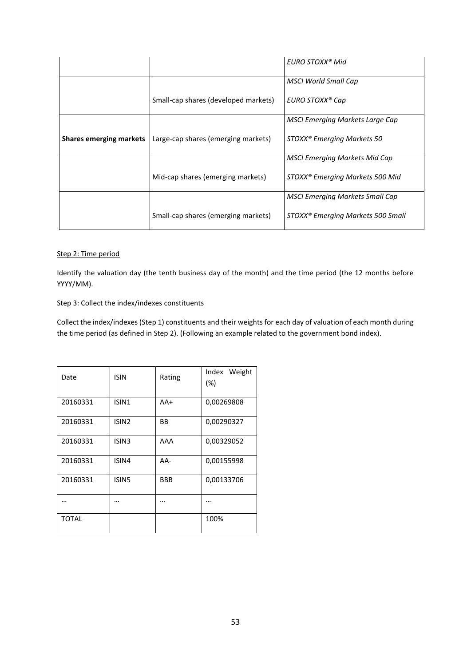|                                |                                      | EURO STOXX <sup>®</sup> Mid                   |
|--------------------------------|--------------------------------------|-----------------------------------------------|
|                                |                                      | MSCI World Small Cap                          |
|                                | Small-cap shares (developed markets) | EURO STOXX® Cap                               |
|                                |                                      | <b>MSCI Emerging Markets Large Cap</b>        |
| <b>Shares emerging markets</b> | Large-cap shares (emerging markets)  | STOXX <sup>®</sup> Emerging Markets 50        |
|                                |                                      | <b>MSCI Emerging Markets Mid Cap</b>          |
|                                | Mid-cap shares (emerging markets)    | STOXX <sup>®</sup> Emerging Markets 500 Mid   |
|                                |                                      | <b>MSCI Emerging Markets Small Cap</b>        |
|                                | Small-cap shares (emerging markets)  | STOXX <sup>®</sup> Emerging Markets 500 Small |

#### Step 2: Time period

Identify the valuation day (the tenth business day of the month) and the time period (the 12 months before YYYY/MM).

### Step 3: Collect the index/indexes constituents

Collect the index/indexes (Step 1) constituents and their weights for each day of valuation of each month during the time period (as defined in Step 2). (Following an example related to the government bond index).

| Date     | <b>ISIN</b>       | Rating     | Index Weight<br>$(\%)$ |
|----------|-------------------|------------|------------------------|
| 20160331 | ISIN1             | AA+        | 0,00269808             |
| 20160331 | ISIN <sub>2</sub> | <b>BB</b>  | 0,00290327             |
| 20160331 | ISIN <sub>3</sub> | AAA        | 0,00329052             |
| 20160331 | ISIN4             | AA-        | 0,00155998             |
| 20160331 | ISIN <sub>5</sub> | <b>BBB</b> | 0,00133706             |
|          | .                 |            | .                      |
| TOTAL    |                   |            | 100%                   |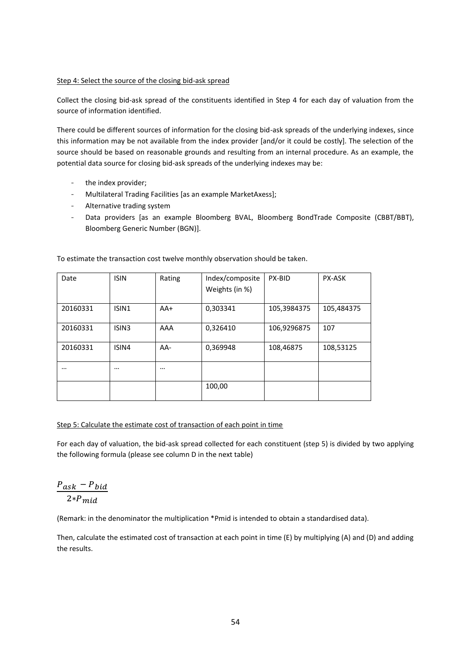#### Step 4: Select the source of the closing bid-ask spread

Collect the closing bid-ask spread of the constituents identified in Step 4 for each day of valuation from the source of information identified.

There could be different sources of information for the closing bid-ask spreads of the underlying indexes, since this information may be not available from the index provider [and/or it could be costly]. The selection of the source should be based on reasonable grounds and resulting from an internal procedure. As an example, the potential data source for closing bid-ask spreads of the underlying indexes may be:

- the index provider;
- Multilateral Trading Facilities [as an example MarketAxess];
- Alternative trading system
- Data providers [as an example Bloomberg BVAL, Bloomberg BondTrade Composite (CBBT/BBT), Bloomberg Generic Number (BGN)].

| Date     | <b>ISIN</b>       | Rating   | Index/composite<br>Weights (in %) | PX-BID      | <b>PX-ASK</b> |
|----------|-------------------|----------|-----------------------------------|-------------|---------------|
| 20160331 | ISIN1             | $AA+$    | 0,303341                          | 105,3984375 | 105,484375    |
| 20160331 | ISIN <sub>3</sub> | AAA      | 0,326410                          | 106,9296875 | 107           |
| 20160331 | ISIN4             | $AA-$    | 0,369948                          | 108,46875   | 108,53125     |
| $\cdots$ | $\cdots$          | $\cdots$ |                                   |             |               |
|          |                   |          | 100,00                            |             |               |

To estimate the transaction cost twelve monthly observation should be taken.

#### Step 5: Calculate the estimate cost of transaction of each point in time

For each day of valuation, the bid-ask spread collected for each constituent (step 5) is divided by two applying the following formula (please see column D in the next table)

$$
\frac{P_{ask} - P_{bid}}{2*P_{mid}}
$$

(Remark: in the denominator the multiplication \*Pmid is intended to obtain a standardised data).

Then, calculate the estimated cost of transaction at each point in time (E) by multiplying (A) and (D) and adding the results.